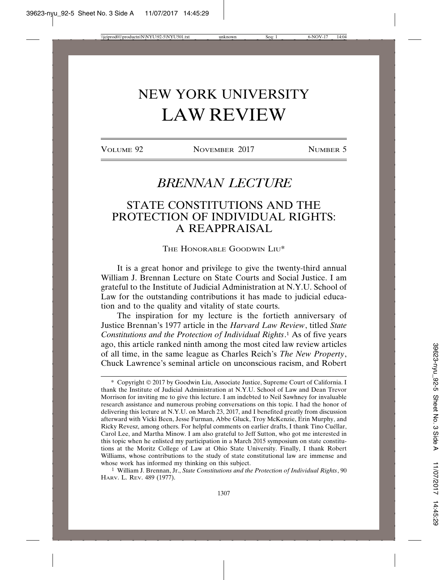# NEW YORK UNIVERSITY LAW REVIEW

VOLUME 92 NOVEMBER 2017 NUMBER 5

## *BRENNAN LECTURE*

### STATE CONSTITUTIONS AND THE PROTECTION OF INDIVIDUAL RIGHTS: A REAPPRAISAL

THE HONORABLE GOODWIN LIU\*

It is a great honor and privilege to give the twenty-third annual William J. Brennan Lecture on State Courts and Social Justice. I am grateful to the Institute of Judicial Administration at N.Y.U. School of Law for the outstanding contributions it has made to judicial education and to the quality and vitality of state courts.

The inspiration for my lecture is the fortieth anniversary of Justice Brennan's 1977 article in the *Harvard Law Review*, titled *State Constitutions and the Protection of Individual Rights*. 1 As of five years ago, this article ranked ninth among the most cited law review articles of all time, in the same league as Charles Reich's *The New Property*, Chuck Lawrence's seminal article on unconscious racism, and Robert

<sup>\*</sup> Copyright © 2017 by Goodwin Liu, Associate Justice, Supreme Court of California. I thank the Institute of Judicial Administration at N.Y.U. School of Law and Dean Trevor Morrison for inviting me to give this lecture. I am indebted to Neil Sawhney for invaluable research assistance and numerous probing conversations on this topic. I had the honor of delivering this lecture at N.Y.U. on March 23, 2017, and I benefited greatly from discussion afterward with Vicki Been, Jesse Furman, Abbe Gluck, Troy McKenzie, Erin Murphy, and Ricky Revesz, among others. For helpful comments on earlier drafts, I thank Tino Cuéllar, Carol Lee, and Martha Minow. I am also grateful to Jeff Sutton, who got me interested in this topic when he enlisted my participation in a March 2015 symposium on state constitutions at the Moritz College of Law at Ohio State University. Finally, I thank Robert Williams, whose contributions to the study of state constitutional law are immense and whose work has informed my thinking on this subject.

<sup>1</sup> William J. Brennan, Jr., *State Constitutions and the Protection of Individual Rights*, 90 HARV. L. REV. 489 (1977).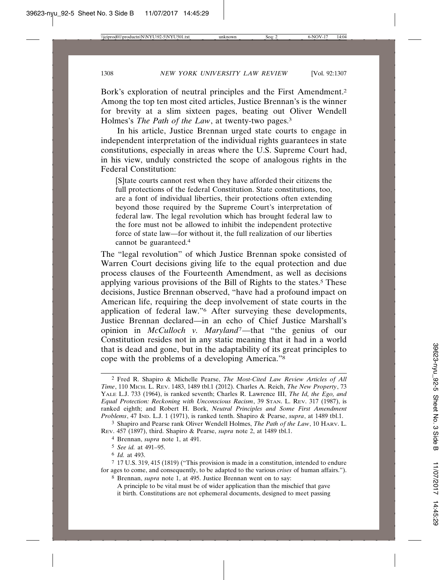Bork's exploration of neutral principles and the First Amendment.2 Among the top ten most cited articles, Justice Brennan's is the winner for brevity at a slim sixteen pages, beating out Oliver Wendell Holmes's *The Path of the Law*, at twenty-two pages.3

In his article, Justice Brennan urged state courts to engage in independent interpretation of the individual rights guarantees in state constitutions, especially in areas where the U.S. Supreme Court had, in his view, unduly constricted the scope of analogous rights in the Federal Constitution:

[S]tate courts cannot rest when they have afforded their citizens the full protections of the federal Constitution. State constitutions, too, are a font of individual liberties, their protections often extending beyond those required by the Supreme Court's interpretation of federal law. The legal revolution which has brought federal law to the fore must not be allowed to inhibit the independent protective force of state law—for without it, the full realization of our liberties cannot be guaranteed.4

The "legal revolution" of which Justice Brennan spoke consisted of Warren Court decisions giving life to the equal protection and due process clauses of the Fourteenth Amendment, as well as decisions applying various provisions of the Bill of Rights to the states.<sup>5</sup> These decisions, Justice Brennan observed, "have had a profound impact on American life, requiring the deep involvement of state courts in the application of federal law."6 After surveying these developments, Justice Brennan declared—in an echo of Chief Justice Marshall's opinion in *McCulloch v. Maryland*7—that "the genius of our Constitution resides not in any static meaning that it had in a world that is dead and gone, but in the adaptability of its great principles to cope with the problems of a developing America."8

A principle to be vital must be of wider application than the mischief that gave it birth. Constitutions are not ephemeral documents, designed to meet passing

<sup>2</sup> Fred R. Shapiro & Michelle Pearse, *The Most-Cited Law Review Articles of All Time*, 110 MICH. L. REV. 1483, 1489 tbl.1 (2012). Charles A. Reich, *The New Property*, 73 YALE L.J. 733 (1964), is ranked seventh; Charles R. Lawrence III, *The Id, the Ego, and Equal Protection: Reckoning with Unconscious Racism*, 39 STAN. L. REV. 317 (1987), is ranked eighth; and Robert H. Bork, *Neutral Principles and Some First Amendment Problems*, 47 IND. L.J. 1 (1971), is ranked tenth. Shapiro & Pearse, *supra*, at 1489 tbl.1.

<sup>3</sup> Shapiro and Pearse rank Oliver Wendell Holmes, *The Path of the Law*, 10 HARV. L. REV. 457 (1897), third. Shapiro & Pearse, *supra* note 2, at 1489 tbl.1.

<sup>4</sup> Brennan, *supra* note 1, at 491.

<sup>5</sup> *See id.* at 491–95.

<sup>6</sup> *Id.* at 493.

<sup>7</sup> 17 U.S. 319, 415 (1819) ("This provision is made in a constitution, intended to endure for ages to come, and consequently, to be adapted to the various *crises* of human affairs."). 8 Brennan, *supra* note 1, at 495. Justice Brennan went on to say: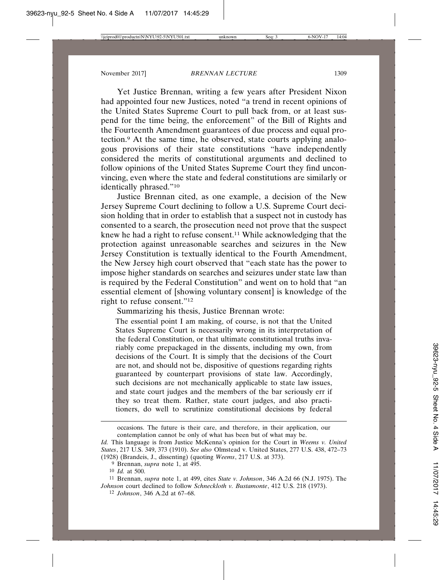Yet Justice Brennan, writing a few years after President Nixon had appointed four new Justices, noted "a trend in recent opinions of the United States Supreme Court to pull back from, or at least suspend for the time being, the enforcement" of the Bill of Rights and the Fourteenth Amendment guarantees of due process and equal protection.9 At the same time, he observed, state courts applying analogous provisions of their state constitutions "have independently considered the merits of constitutional arguments and declined to follow opinions of the United States Supreme Court they find unconvincing, even where the state and federal constitutions are similarly or identically phrased."10

Justice Brennan cited, as one example, a decision of the New Jersey Supreme Court declining to follow a U.S. Supreme Court decision holding that in order to establish that a suspect not in custody has consented to a search, the prosecution need not prove that the suspect knew he had a right to refuse consent.<sup>11</sup> While acknowledging that the protection against unreasonable searches and seizures in the New Jersey Constitution is textually identical to the Fourth Amendment, the New Jersey high court observed that "each state has the power to impose higher standards on searches and seizures under state law than is required by the Federal Constitution" and went on to hold that "an essential element of [showing voluntary consent] is knowledge of the right to refuse consent."12

Summarizing his thesis, Justice Brennan wrote:

The essential point I am making, of course, is not that the United States Supreme Court is necessarily wrong in its interpretation of the federal Constitution, or that ultimate constitutional truths invariably come prepackaged in the dissents, including my own, from decisions of the Court. It is simply that the decisions of the Court are not, and should not be, dispositive of questions regarding rights guaranteed by counterpart provisions of state law. Accordingly, such decisions are not mechanically applicable to state law issues, and state court judges and the members of the bar seriously err if they so treat them. Rather, state court judges, and also practitioners, do well to scrutinize constitutional decisions by federal

occasions. The future is their care, and therefore, in their application, our contemplation cannot be only of what has been but of what may be.

*Id.* This language is from Justice McKenna's opinion for the Court in *Weems v. United States*, 217 U.S. 349, 373 (1910). *See also* Olmstead v. United States, 277 U.S. 438, 472–73 (1928) (Brandeis, J., dissenting) (quoting *Weems*, 217 U.S. at 373).

<sup>9</sup> Brennan, *supra* note 1, at 495.

<sup>10</sup> *Id.* at 500.

<sup>11</sup> Brennan, *supra* note 1, at 499, cites *State v. Johnson*, 346 A.2d 66 (N.J. 1975). The *Johnson* court declined to follow *Schneckloth v. Bustamonte*, 412 U.S. 218 (1973).

<sup>12</sup> *Johnson*, 346 A.2d at 67–68.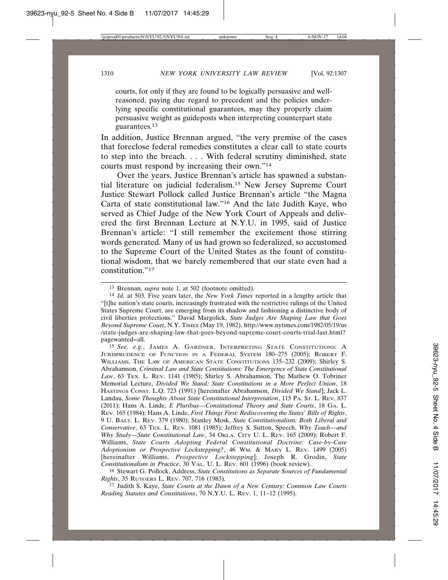courts, for only if they are found to be logically persuasive and wellreasoned, paying due regard to precedent and the policies underlying specific constitutional guarantees, may they properly claim persuasive weight as guideposts when interpreting counterpart state guarantees.13

In addition, Justice Brennan argued, "the very premise of the cases that foreclose federal remedies constitutes a clear call to state courts to step into the breach. . . . With federal scrutiny diminished, state courts must respond by increasing their own."14

Over the years, Justice Brennan's article has spawned a substantial literature on judicial federalism.15 New Jersey Supreme Court Justice Stewart Pollock called Justice Brennan's article "the Magna Carta of state constitutional law."16 And the late Judith Kaye, who served as Chief Judge of the New York Court of Appeals and delivered the first Brennan Lecture at N.Y.U. in 1995, said of Justice Brennan's article: "I still remember the excitement those stirring words generated. Many of us had grown so federalized, so accustomed to the Supreme Court of the United States as the fount of constitutional wisdom, that we barely remembered that our state even had a constitution."17

15 *See, e.g.*, JAMES A. GARDNER, INTERPRETING STATE CONSTITUTIONS: A JURISPRUDENCE OF FUNCTION IN A FEDERAL SYSTEM 180–275 (2005); ROBERT F. WILLIAMS, THE LAW OF AMERICAN STATE CONSTITUTIONS 135–232 (2009); Shirley S. Abrahamson, *Criminal Law and State Constitutions: The Emergence of State Constitutional Law*, 63 TEX. L. REV. 1141 (1985); Shirley S. Abrahamson, The Mathew O. Tobriner Memorial Lecture, *Divided We Stand: State Constitutions in a More Perfect Union*, 18 HASTINGS CONST. L.Q. 723 (1991) [hereinafter Abrahamson, *Divided We Stand*]; Jack L. Landau, *Some Thoughts About State Constitutional Interpretation*, 115 PA. ST. L. REV. 837 (2011); Hans A. Linde, *E Pluribus—Constitutional Theory and State Courts*, 18 GA. L. REV. 165 (1984); Hans A. Linde, *First Things First: Rediscovering the States' Bills of Rights*, 9 U. BALT. L. REV. 379 (1980); Stanley Mosk, *State Constitutionalism: Both Liberal and Conservative*, 63 TEX. L. REV. 1081 (1985); Jeffrey S. Sutton, Speech, *Why Teach—and Why Study—State Constitutional Law*, 34 OKLA. CITY U. L. REV. 165 (2009); Robert F. Williams, *State Courts Adopting Federal Constitutional Doctrine: Case-by-Case Adoptionism or Prospective Lockstepping?*, 46 WM. & MARY L. REV. 1499 (2005) [hereinafter Williams, *Prospective Lockstepping*]; Joseph R. Grodin, *State Constitutionalism in Practice*, 30 VAL. U. L. REV. 601 (1996) (book review).

16 Stewart G. Pollock, Address, *State Constitutions as Separate Sources of Fundamental Rights*, 35 RUTGERS L. REV. 707, 716 (1983).

17 Judith S. Kaye, *State Courts at the Dawn of a New Century: Common Law Courts Reading Statutes and Constitutions*, 70 N.Y.U. L. REV. 1, 11–12 (1995).

<sup>13</sup> Brennan, *supra* note 1, at 502 (footnote omitted).

<sup>14</sup> *Id.* at 503. Five years later, the *New York Times* reported in a lengthy article that "[t]he nation's state courts, increasingly frustrated with the restrictive rulings of the United States Supreme Court, are emerging from its shadow and fashioning a distinctive body of civil liberties protections." David Margolick, *State Judges Are Shaping Law that Goes Beyond Supreme Court*, N.Y. TIMES (May 19, 1982), http://www.nytimes.com/1982/05/19/us /state-judges-are-shaping-law-that-goes-beyond-supreme-court-courts-trial-last.html? pagewanted=all.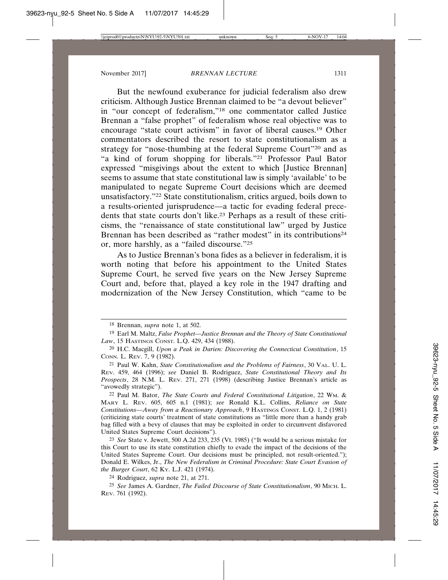But the newfound exuberance for judicial federalism also drew criticism. Although Justice Brennan claimed to be "a devout believer" in "our concept of federalism,"18 one commentator called Justice Brennan a "false prophet" of federalism whose real objective was to encourage "state court activism" in favor of liberal causes.19 Other commentators described the resort to state constitutionalism as a strategy for "nose-thumbing at the federal Supreme Court"20 and as "a kind of forum shopping for liberals."21 Professor Paul Bator expressed "misgivings about the extent to which [Justice Brennan] seems to assume that state constitutional law is simply 'available' to be manipulated to negate Supreme Court decisions which are deemed unsatisfactory."22 State constitutionalism, critics argued, boils down to a results-oriented jurisprudence—a tactic for evading federal precedents that state courts don't like.23 Perhaps as a result of these criticisms, the "renaissance of state constitutional law" urged by Justice Brennan has been described as "rather modest" in its contributions<sup>24</sup> or, more harshly, as a "failed discourse."25

As to Justice Brennan's bona fides as a believer in federalism, it is worth noting that before his appointment to the United States Supreme Court, he served five years on the New Jersey Supreme Court and, before that, played a key role in the 1947 drafting and modernization of the New Jersey Constitution, which "came to be

<sup>18</sup> Brennan, *supra* note 1, at 502.

<sup>19</sup> Earl M. Maltz, *False Prophet—Justice Brennan and the Theory of State Constitutional Law*, 15 HASTINGS CONST. L.Q. 429, 434 (1988).

<sup>20</sup> H.C. Macgill, *Upon a Peak in Darien: Discovering the Connecticut Constitution*, 15 CONN. L. REV. 7, 9 (1982).

<sup>21</sup> Paul W. Kahn, *State Constitutionalism and the Problems of Fairness*, 30 VAL. U. L. REV. 459, 464 (1996); *see* Daniel B. Rodriguez, *State Constitutional Theory and Its Prospects*, 28 N.M. L. REV. 271, 271 (1998) (describing Justice Brennan's article as "avowedly strategic").

<sup>22</sup> Paul M. Bator, *The State Courts and Federal Constitutional Litigation*, 22 WM. & MARY L. REV. 605, 605 n.1 (1981); *see* Ronald K.L. Collins, *Reliance on State Constitutions—Away from a Reactionary Approach*, 9 HASTINGS CONST. L.Q. 1, 2 (1981) (criticizing state courts' treatment of state constitutions as "little more than a handy grab bag filled with a bevy of clauses that may be exploited in order to circumvent disfavored United States Supreme Court decisions").

<sup>23</sup> *See* State v. Jewett, 500 A.2d 233, 235 (Vt. 1985) ("It would be a serious mistake for this Court to use its state constitution chiefly to evade the impact of the decisions of the United States Supreme Court. Our decisions must be principled, not result-oriented."); Donald E. Wilkes, Jr., *The New Federalism in Criminal Procedure: State Court Evasion of the Burger Court*, 62 KY. L.J. 421 (1974).

<sup>24</sup> Rodriguez, *supra* note 21, at 271.

<sup>25</sup> *See* James A. Gardner, *The Failed Discourse of State Constitutionalism*, 90 MICH. L. REV. 761 (1992).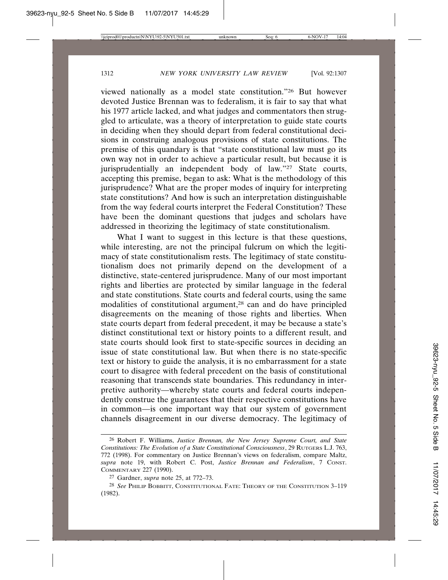viewed nationally as a model state constitution."26 But however devoted Justice Brennan was to federalism, it is fair to say that what his 1977 article lacked, and what judges and commentators then struggled to articulate, was a theory of interpretation to guide state courts in deciding when they should depart from federal constitutional decisions in construing analogous provisions of state constitutions. The premise of this quandary is that "state constitutional law must go its own way not in order to achieve a particular result, but because it is jurisprudentially an independent body of law."27 State courts, accepting this premise, began to ask: What is the methodology of this jurisprudence? What are the proper modes of inquiry for interpreting state constitutions? And how is such an interpretation distinguishable from the way federal courts interpret the Federal Constitution? These have been the dominant questions that judges and scholars have addressed in theorizing the legitimacy of state constitutionalism.

What I want to suggest in this lecture is that these questions, while interesting, are not the principal fulcrum on which the legitimacy of state constitutionalism rests. The legitimacy of state constitutionalism does not primarily depend on the development of a distinctive, state-centered jurisprudence. Many of our most important rights and liberties are protected by similar language in the federal and state constitutions. State courts and federal courts, using the same modalities of constitutional argument,28 can and do have principled disagreements on the meaning of those rights and liberties. When state courts depart from federal precedent, it may be because a state's distinct constitutional text or history points to a different result, and state courts should look first to state-specific sources in deciding an issue of state constitutional law. But when there is no state-specific text or history to guide the analysis, it is no embarrassment for a state court to disagree with federal precedent on the basis of constitutional reasoning that transcends state boundaries. This redundancy in interpretive authority—whereby state courts and federal courts independently construe the guarantees that their respective constitutions have in common—is one important way that our system of government channels disagreement in our diverse democracy. The legitimacy of

<sup>26</sup> Robert F. Williams, *Justice Brennan, the New Jersey Supreme Court, and State Constitutions: The Evolution of a State Constitutional Consciousness*, 29 RUTGERS L.J. 763, 772 (1998). For commentary on Justice Brennan's views on federalism, compare Maltz, *supra* note 19, with Robert C. Post, *Justice Brennan and Federalism*, 7 CONST. COMMENTARY 227 (1990).

<sup>27</sup> Gardner, *supra* note 25, at 772–73.

<sup>28</sup> *See* PHILIP BOBBITT, CONSTITUTIONAL FATE: THEORY OF THE CONSTITUTION 3–119 (1982).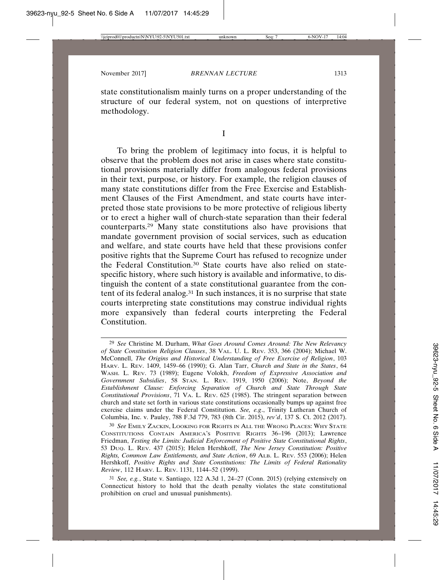state constitutionalism mainly turns on a proper understanding of the structure of our federal system, not on questions of interpretive methodology.

I

To bring the problem of legitimacy into focus, it is helpful to observe that the problem does not arise in cases where state constitutional provisions materially differ from analogous federal provisions in their text, purpose, or history. For example, the religion clauses of many state constitutions differ from the Free Exercise and Establishment Clauses of the First Amendment, and state courts have interpreted those state provisions to be more protective of religious liberty or to erect a higher wall of church-state separation than their federal counterparts.29 Many state constitutions also have provisions that mandate government provision of social services, such as education and welfare, and state courts have held that these provisions confer positive rights that the Supreme Court has refused to recognize under the Federal Constitution.30 State courts have also relied on statespecific history, where such history is available and informative, to distinguish the content of a state constitutional guarantee from the content of its federal analog.31 In such instances, it is no surprise that state courts interpreting state constitutions may construe individual rights more expansively than federal courts interpreting the Federal Constitution.

<sup>29</sup> *See* Christine M. Durham, *What Goes Around Comes Around: The New Relevancy of State Constitution Religion Clauses*, 38 VAL. U. L. REV. 353, 366 (2004); Michael W. McConnell, *The Origins and Historical Understanding of Free Exercise of Religion*, 103 HARV. L. REV. 1409, 1459–66 (1990); G. Alan Tarr, *Church and State in the States*, 64 WASH. L. REV. 73 (1989); Eugene Volokh, *Freedom of Expressive Association and Government Subsidies*, 58 STAN. L. REV. 1919, 1950 (2006); Note, *Beyond the Establishment Clause: Enforcing Separation of Church and State Through State Constitutional Provisions*, 71 VA. L. REV. 625 (1985). The stringent separation between church and state set forth in various state constitutions occasionally bumps up against free exercise claims under the Federal Constitution. *See, e.g*., Trinity Lutheran Church of Columbia, Inc. v. Pauley, 788 F.3d 779, 783 (8th Cir. 2015), *rev'd*, 137 S. Ct. 2012 (2017).

<sup>30</sup> *See* EMILY ZACKIN, LOOKING FOR RIGHTS IN ALL THE WRONG PLACES: WHY STATE CONSTITUTIONS CONTAIN AMERICA'S POSITIVE RIGHTS 36–196 (2013); Lawrence Friedman, *Testing the Limits: Judicial Enforcement of Positive State Constitutional Rights*, 53 DUQ. L. REV. 437 (2015); Helen Hershkoff, *The New Jersey Constitution: Positive Rights, Common Law Entitlements, and State Action*, 69 ALB. L. REV. 553 (2006); Helen Hershkoff, *Positive Rights and State Constitutions: The Limits of Federal Rationality Review*, 112 HARV. L. REV. 1131, 1144–52 (1999).

<sup>31</sup> *See, e.g.*, State v. Santiago, 122 A.3d 1, 24–27 (Conn. 2015) (relying extensively on Connecticut history to hold that the death penalty violates the state constitutional prohibition on cruel and unusual punishments).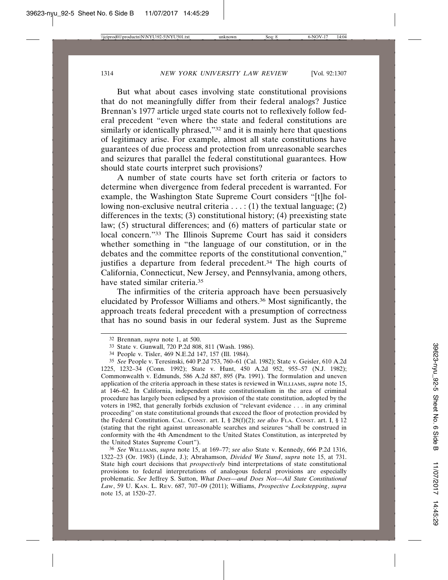But what about cases involving state constitutional provisions that do not meaningfully differ from their federal analogs? Justice Brennan's 1977 article urged state courts not to reflexively follow federal precedent "even where the state and federal constitutions are similarly or identically phrased,"<sup>32</sup> and it is mainly here that questions of legitimacy arise. For example, almost all state constitutions have guarantees of due process and protection from unreasonable searches and seizures that parallel the federal constitutional guarantees. How should state courts interpret such provisions?

A number of state courts have set forth criteria or factors to determine when divergence from federal precedent is warranted. For example, the Washington State Supreme Court considers "[t]he following non-exclusive neutral criteria  $\dots$ : (1) the textual language; (2) differences in the texts; (3) constitutional history; (4) preexisting state law; (5) structural differences; and (6) matters of particular state or local concern."33 The Illinois Supreme Court has said it considers whether something in "the language of our constitution, or in the debates and the committee reports of the constitutional convention," justifies a departure from federal precedent.<sup>34</sup> The high courts of California, Connecticut, New Jersey, and Pennsylvania, among others, have stated similar criteria.35

The infirmities of the criteria approach have been persuasively elucidated by Professor Williams and others.36 Most significantly, the approach treats federal precedent with a presumption of correctness that has no sound basis in our federal system. Just as the Supreme

36 *See* WILLIAMS, *supra* note 15, at 169–77; *see also* State v. Kennedy, 666 P.2d 1316, 1322–23 (Or. 1983) (Linde, J.); Abrahamson, *Divided We Stand*, *supra* note 15, at 731. State high court decisions that *prospectively* bind interpretations of state constitutional provisions to federal interpretations of analogous federal provisions are especially problematic. *See* Jeffrey S. Sutton, *What Does—and Does Not—Ail State Constitutional Law*, 59 U. KAN. L. REV. 687, 707–09 (2011); Williams, *Prospective Lockstepping*, *supra* note 15, at 1520–27.

<sup>32</sup> Brennan, *supra* note 1, at 500.

<sup>33</sup> State v. Gunwall, 720 P.2d 808, 811 (Wash. 1986).

<sup>34</sup> People v. Tisler, 469 N.E.2d 147, 157 (Ill. 1984).

<sup>35</sup> *See* People v. Teresinski, 640 P.2d 753, 760–61 (Cal. 1982); State v. Geisler, 610 A.2d 1225, 1232–34 (Conn. 1992); State v. Hunt, 450 A.2d 952, 955–57 (N.J. 1982); Commonwealth v. Edmunds, 586 A.2d 887, 895 (Pa. 1991). The formulation and uneven application of the criteria approach in these states is reviewed in WILLIAMS, *supra* note 15, at 146–62. In California, independent state constitutionalism in the area of criminal procedure has largely been eclipsed by a provision of the state constitution, adopted by the voters in 1982, that generally forbids exclusion of "relevant evidence . . . in any criminal proceeding" on state constitutional grounds that exceed the floor of protection provided by the Federal Constitution. CAL. CONST. art. I, § 28(f)(2); *see also* FLA. CONST. art. I, § 12 (stating that the right against unreasonable searches and seizures "shall be construed in conformity with the 4th Amendment to the United States Constitution, as interpreted by the United States Supreme Court").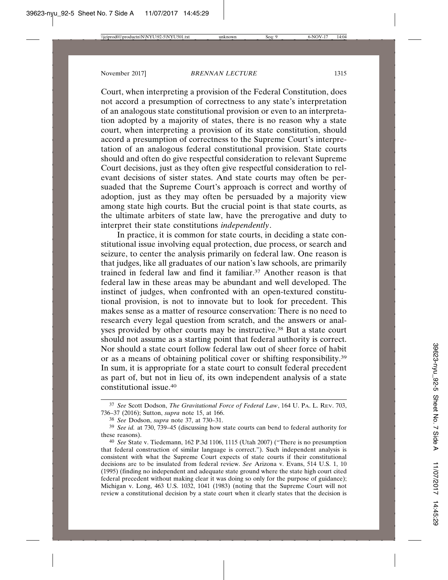Court, when interpreting a provision of the Federal Constitution, does not accord a presumption of correctness to any state's interpretation of an analogous state constitutional provision or even to an interpretation adopted by a majority of states, there is no reason why a state court, when interpreting a provision of its state constitution, should accord a presumption of correctness to the Supreme Court's interpretation of an analogous federal constitutional provision. State courts should and often do give respectful consideration to relevant Supreme Court decisions, just as they often give respectful consideration to relevant decisions of sister states. And state courts may often be persuaded that the Supreme Court's approach is correct and worthy of adoption, just as they may often be persuaded by a majority view among state high courts. But the crucial point is that state courts, as the ultimate arbiters of state law, have the prerogative and duty to interpret their state constitutions *independently*.

In practice, it is common for state courts, in deciding a state constitutional issue involving equal protection, due process, or search and seizure, to center the analysis primarily on federal law. One reason is that judges, like all graduates of our nation's law schools, are primarily trained in federal law and find it familiar.37 Another reason is that federal law in these areas may be abundant and well developed. The instinct of judges, when confronted with an open-textured constitutional provision, is not to innovate but to look for precedent. This makes sense as a matter of resource conservation: There is no need to research every legal question from scratch, and the answers or analyses provided by other courts may be instructive.<sup>38</sup> But a state court should not assume as a starting point that federal authority is correct. Nor should a state court follow federal law out of sheer force of habit or as a means of obtaining political cover or shifting responsibility.39 In sum, it is appropriate for a state court to consult federal precedent as part of, but not in lieu of, its own independent analysis of a state constitutional issue.40

<sup>37</sup> *See* Scott Dodson, *The Gravitational Force of Federal Law*, 164 U. PA. L. REV. 703, 736–37 (2016); Sutton, *supra* note 15, at 166.

<sup>38</sup> *See* Dodson, *supra* note 37, at 730–31.

<sup>39</sup> *See id.* at 730, 739–45 (discussing how state courts can bend to federal authority for these reasons).

<sup>40</sup> *See* State v. Tiedemann, 162 P.3d 1106, 1115 (Utah 2007) ("There is no presumption that federal construction of similar language is correct."). Such independent analysis is consistent with what the Supreme Court expects of state courts if their constitutional decisions are to be insulated from federal review. *See* Arizona v. Evans, 514 U.S. 1, 10 (1995) (finding no independent and adequate state ground where the state high court cited federal precedent without making clear it was doing so only for the purpose of guidance); Michigan v. Long, 463 U.S. 1032, 1041 (1983) (noting that the Supreme Court will not review a constitutional decision by a state court when it clearly states that the decision is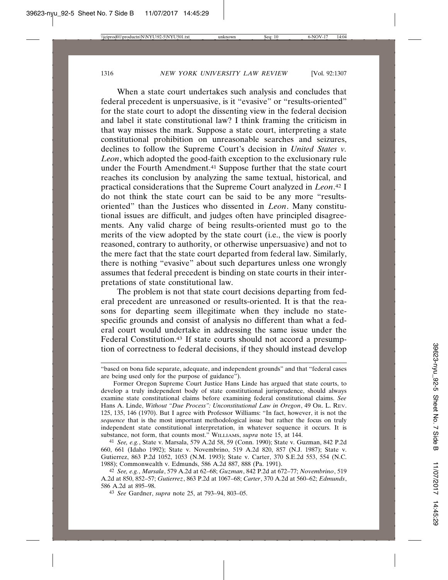When a state court undertakes such analysis and concludes that federal precedent is unpersuasive, is it "evasive" or "results-oriented" for the state court to adopt the dissenting view in the federal decision and label it state constitutional law? I think framing the criticism in that way misses the mark. Suppose a state court, interpreting a state constitutional prohibition on unreasonable searches and seizures, declines to follow the Supreme Court's decision in *United States v. Leon*, which adopted the good-faith exception to the exclusionary rule under the Fourth Amendment.<sup>41</sup> Suppose further that the state court reaches its conclusion by analyzing the same textual, historical, and practical considerations that the Supreme Court analyzed in *Leon*. 42 I do not think the state court can be said to be any more "resultsoriented" than the Justices who dissented in *Leon*. Many constitutional issues are difficult, and judges often have principled disagreements. Any valid charge of being results-oriented must go to the merits of the view adopted by the state court (i.e., the view is poorly reasoned, contrary to authority, or otherwise unpersuasive) and not to the mere fact that the state court departed from federal law. Similarly, there is nothing "evasive" about such departures unless one wrongly assumes that federal precedent is binding on state courts in their interpretations of state constitutional law.

The problem is not that state court decisions departing from federal precedent are unreasoned or results-oriented. It is that the reasons for departing seem illegitimate when they include no statespecific grounds and consist of analysis no different than what a federal court would undertake in addressing the same issue under the Federal Constitution.<sup>43</sup> If state courts should not accord a presumption of correctness to federal decisions, if they should instead develop

<sup>&</sup>quot;based on bona fide separate, adequate, and independent grounds" and that "federal cases are being used only for the purpose of guidance").

Former Oregon Supreme Court Justice Hans Linde has argued that state courts, to develop a truly independent body of state constitutional jurisprudence, should always examine state constitutional claims before examining federal constitutional claims. *See* Hans A. Linde, *Without "Due Process": Unconstitutional Law in Oregon*, 49 OR. L. REV. 125, 135, 146 (1970). But I agree with Professor Williams: "In fact, however, it is not the *sequence* that is the most important methodological issue but rather the focus on truly independent state constitutional interpretation, in whatever sequence it occurs. It is substance, not form, that counts most." WILLIAMS, *supra* note 15, at 144.

<sup>41</sup> *See, e.g.*, State v. Marsala, 579 A.2d 58, 59 (Conn. 1990); State v. Guzman, 842 P.2d 660, 661 (Idaho 1992); State v. Novembrino, 519 A.2d 820, 857 (N.J. 1987); State v. Gutierrez, 863 P.2d 1052, 1053 (N.M. 1993); State v. Carter, 370 S.E.2d 553, 554 (N.C. 1988); Commonwealth v. Edmunds, 586 A.2d 887, 888 (Pa. 1991).

<sup>42</sup> *See, e.g.*, *Marsala*, 579 A.2d at 62–68; *Guzman*, 842 P.2d at 672–77; *Novembrino*, 519 A.2d at 850, 852–57; *Gutierrez*, 863 P.2d at 1067–68; *Carter*, 370 A.2d at 560–62; *Edmunds*, 586 A.2d at 895–98.

<sup>43</sup> *See* Gardner, *supra* note 25, at 793–94, 803–05.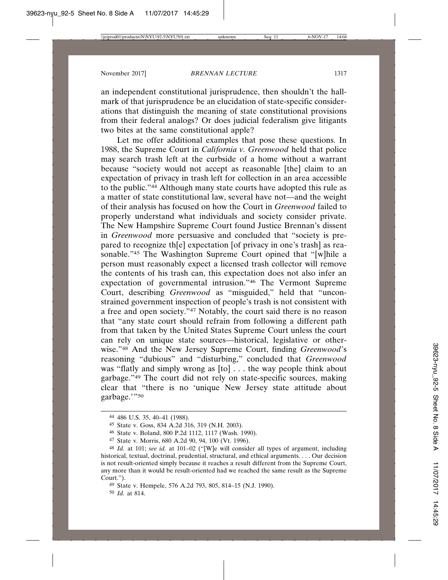an independent constitutional jurisprudence, then shouldn't the hallmark of that jurisprudence be an elucidation of state-specific considerations that distinguish the meaning of state constitutional provisions from their federal analogs? Or does judicial federalism give litigants two bites at the same constitutional apple?

Let me offer additional examples that pose these questions. In 1988, the Supreme Court in *California v. Greenwood* held that police may search trash left at the curbside of a home without a warrant because "society would not accept as reasonable [the] claim to an expectation of privacy in trash left for collection in an area accessible to the public."44 Although many state courts have adopted this rule as a matter of state constitutional law, several have not—and the weight of their analysis has focused on how the Court in *Greenwood* failed to properly understand what individuals and society consider private. The New Hampshire Supreme Court found Justice Brennan's dissent in *Greenwood* more persuasive and concluded that "society is prepared to recognize th[e] expectation [of privacy in one's trash] as reasonable."<sup>45</sup> The Washington Supreme Court opined that "[w]hile a person must reasonably expect a licensed trash collector will remove the contents of his trash can, this expectation does not also infer an expectation of governmental intrusion."46 The Vermont Supreme Court, describing *Greenwood* as "misguided," held that "unconstrained government inspection of people's trash is not consistent with a free and open society."47 Notably, the court said there is no reason that "any state court should refrain from following a different path from that taken by the United States Supreme Court unless the court can rely on unique state sources—historical, legislative or otherwise."48 And the New Jersey Supreme Court, finding *Greenwood*'s reasoning "dubious" and "disturbing," concluded that *Greenwood* was "flatly and simply wrong as [to] . . . the way people think about garbage."49 The court did not rely on state-specific sources, making clear that "there is no 'unique New Jersey state attitude about garbage.'"50

50 *Id.* at 814.

<sup>44</sup> 486 U.S. 35, 40–41 (1988).

<sup>45</sup> State v. Goss, 834 A.2d 316, 319 (N.H. 2003).

<sup>46</sup> State v. Boland, 800 P.2d 1112, 1117 (Wash. 1990).

<sup>47</sup> State v. Morris, 680 A.2d 90, 94, 100 (Vt. 1996).

<sup>48</sup> *Id.* at 101; *see id.* at 101–02 ("[W]e will consider all types of argument, including historical, textual, doctrinal, prudential, structural, and ethical arguments. . . . Our decision is not result-oriented simply because it reaches a result different from the Supreme Court, any more than it would be result-oriented had we reached the same result as the Supreme Court.").

<sup>49</sup> State v. Hempele, 576 A.2d 793, 805, 814–15 (N.J. 1990).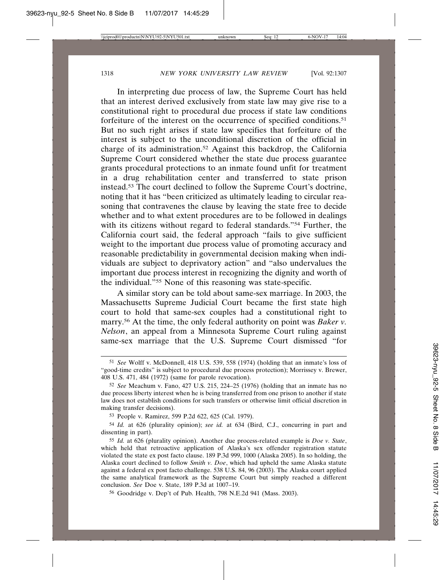In interpreting due process of law, the Supreme Court has held that an interest derived exclusively from state law may give rise to a constitutional right to procedural due process if state law conditions forfeiture of the interest on the occurrence of specified conditions.51 But no such right arises if state law specifies that forfeiture of the interest is subject to the unconditional discretion of the official in charge of its administration.52 Against this backdrop, the California Supreme Court considered whether the state due process guarantee grants procedural protections to an inmate found unfit for treatment in a drug rehabilitation center and transferred to state prison instead.53 The court declined to follow the Supreme Court's doctrine, noting that it has "been criticized as ultimately leading to circular reasoning that contravenes the clause by leaving the state free to decide whether and to what extent procedures are to be followed in dealings with its citizens without regard to federal standards."<sup>54</sup> Further, the California court said, the federal approach "fails to give sufficient weight to the important due process value of promoting accuracy and reasonable predictability in governmental decision making when individuals are subject to deprivatory action" and "also undervalues the important due process interest in recognizing the dignity and worth of the individual."55 None of this reasoning was state-specific.

A similar story can be told about same-sex marriage. In 2003, the Massachusetts Supreme Judicial Court became the first state high court to hold that same-sex couples had a constitutional right to marry.56 At the time, the only federal authority on point was *Baker v. Nelson*, an appeal from a Minnesota Supreme Court ruling against same-sex marriage that the U.S. Supreme Court dismissed "for

53 People v. Ramirez, 599 P.2d 622, 625 (Cal. 1979).

54 *Id.* at 626 (plurality opinion); *see id.* at 634 (Bird, C.J., concurring in part and dissenting in part).

56 Goodridge v. Dep't of Pub. Health, 798 N.E.2d 941 (Mass. 2003).

<sup>51</sup> *See* Wolff v. McDonnell, 418 U.S. 539, 558 (1974) (holding that an inmate's loss of "good-time credits" is subject to procedural due process protection); Morrissey v. Brewer, 408 U.S. 471, 484 (1972) (same for parole revocation).

<sup>52</sup> *See* Meachum v. Fano, 427 U.S. 215, 224–25 (1976) (holding that an inmate has no due process liberty interest when he is being transferred from one prison to another if state law does not establish conditions for such transfers or otherwise limit official discretion in making transfer decisions).

<sup>55</sup> *Id.* at 626 (plurality opinion). Another due process-related example is *Doe v. State*, which held that retroactive application of Alaska's sex offender registration statute violated the state ex post facto clause. 189 P.3d 999, 1000 (Alaska 2005). In so holding, the Alaska court declined to follow *Smith v. Doe*, which had upheld the same Alaska statute against a federal ex post facto challenge. 538 U.S. 84, 96 (2003). The Alaska court applied the same analytical framework as the Supreme Court but simply reached a different conclusion. *See* Doe v. State, 189 P.3d at 1007–19.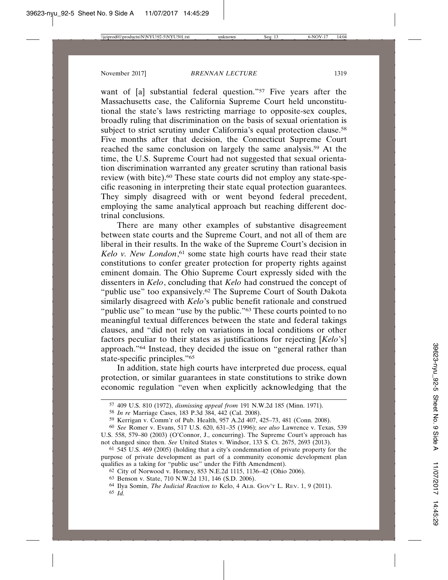want of [a] substantial federal question."<sup>57</sup> Five years after the Massachusetts case, the California Supreme Court held unconstitutional the state's laws restricting marriage to opposite-sex couples, broadly ruling that discrimination on the basis of sexual orientation is subject to strict scrutiny under California's equal protection clause.<sup>58</sup> Five months after that decision, the Connecticut Supreme Court reached the same conclusion on largely the same analysis.59 At the time, the U.S. Supreme Court had not suggested that sexual orientation discrimination warranted any greater scrutiny than rational basis review (with bite).60 These state courts did not employ any state-specific reasoning in interpreting their state equal protection guarantees. They simply disagreed with or went beyond federal precedent, employing the same analytical approach but reaching different doctrinal conclusions.

There are many other examples of substantive disagreement between state courts and the Supreme Court, and not all of them are liberal in their results. In the wake of the Supreme Court's decision in Kelo v. New London,<sup>61</sup> some state high courts have read their state constitutions to confer greater protection for property rights against eminent domain. The Ohio Supreme Court expressly sided with the dissenters in *Kelo*, concluding that *Kelo* had construed the concept of "public use" too expansively.<sup>62</sup> The Supreme Court of South Dakota similarly disagreed with *Kelo*'s public benefit rationale and construed "public use" to mean "use by the public."<sup>63</sup> These courts pointed to no meaningful textual differences between the state and federal takings clauses, and "did not rely on variations in local conditions or other factors peculiar to their states as justifications for rejecting [*Kelo*'s] approach."64 Instead, they decided the issue on "general rather than state-specific principles."65

In addition, state high courts have interpreted due process, equal protection, or similar guarantees in state constitutions to strike down economic regulation "even when explicitly acknowledging that the

<sup>57</sup> 409 U.S. 810 (1972), *dismissing appeal from* 191 N.W.2d 185 (Minn. 1971).

<sup>58</sup> *In re* Marriage Cases, 183 P.3d 384, 442 (Cal. 2008).

<sup>59</sup> Kerrigan v. Comm'r of Pub. Health, 957 A.2d 407, 425–73, 481 (Conn. 2008).

<sup>60</sup> *See* Romer v. Evans, 517 U.S. 620, 631–35 (1996); *see also* Lawrence v. Texas, 539 U.S. 558, 579–80 (2003) (O'Connor, J., concurring). The Supreme Court's approach has not changed since then. *See* United States v. Windsor, 133 S. Ct. 2675, 2693 (2013).

<sup>61</sup> 545 U.S. 469 (2005) (holding that a city's condemnation of private property for the purpose of private development as part of a community economic development plan qualifies as a taking for "public use" under the Fifth Amendment).

<sup>62</sup> City of Norwood v. Horney, 853 N.E.2d 1115, 1136–42 (Ohio 2006).

<sup>63</sup> Benson v. State, 710 N.W.2d 131, 146 (S.D. 2006).

<sup>64</sup> Ilya Somin, *The Judicial Reaction to* Kelo, 4 ALB. GOV'T L. REV. 1, 9 (2011). 65 *Id.*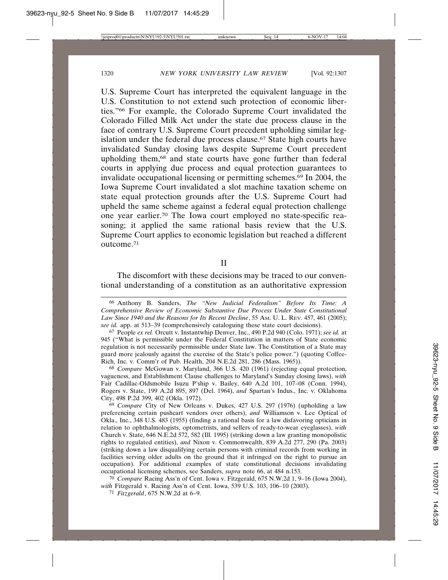U.S. Supreme Court has interpreted the equivalent language in the U.S. Constitution to not extend such protection of economic liberties."66 For example, the Colorado Supreme Court invalidated the Colorado Filled Milk Act under the state due process clause in the face of contrary U.S. Supreme Court precedent upholding similar legislation under the federal due process clause.<sup>67</sup> State high courts have invalidated Sunday closing laws despite Supreme Court precedent upholding them,68 and state courts have gone further than federal courts in applying due process and equal protection guarantees to invalidate occupational licensing or permitting schemes.69 In 2004, the Iowa Supreme Court invalidated a slot machine taxation scheme on state equal protection grounds after the U.S. Supreme Court had upheld the same scheme against a federal equal protection challenge one year earlier.70 The Iowa court employed no state-specific reasoning; it applied the same rational basis review that the U.S. Supreme Court applies to economic legislation but reached a different outcome.71

#### II

The discomfort with these decisions may be traced to our conventional understanding of a constitution as an authoritative expression

68 *Compare* McGowan v. Maryland, 366 U.S. 420 (1961) (rejecting equal protection, vagueness, and Establishment Clause challenges to Maryland's Sunday closing laws), *with* Fair Cadillac-Oldsmobile Isuzu P'ship v. Bailey, 640 A.2d 101, 107–08 (Conn. 1994), Rogers v. State, 199 A.2d 895, 897 (Del. 1964), *and* Spartan's Indus., Inc. v. Oklahoma City, 498 P.2d 399, 402 (Okla. 1972).

69 *Compare* City of New Orleans v. Dukes, 427 U.S. 297 (1976) (upholding a law preferencing certain pushcart vendors over others), *and* Williamson v. Lee Optical of Okla., Inc., 348 U.S. 483 (1955) (finding a rational basis for a law disfavoring opticians in relation to ophthalmologists, optometrists, and sellers of ready-to-wear eyeglasses), *with* Church v. State, 646 N.E.2d 572, 582 (Ill. 1995) (striking down a law granting monopolistic rights to regulated entities), *and* Nixon v. Commonwealth, 839 A.2d 277, 290 (Pa. 2003) (striking down a law disqualifying certain persons with criminal records from working in facilities serving older adults on the ground that it infringed on the right to pursue an occupation). For additional examples of state constitutional decisions invalidating occupational licensing schemes, see Sanders, *supra* note 66, at 484 n.153.

70 *Compare* Racing Ass'n of Cent. Iowa v. Fitzgerald, 675 N.W.2d 1, 9–16 (Iowa 2004), *with* Fitzgerald v. Racing Ass'n of Cent. Iowa, 539 U.S. 103, 106–10 (2003).

71 *Fitzgerald*, 675 N.W.2d at 6–9.

<sup>66</sup> Anthony B. Sanders, *The "New Judicial Federalism" Before Its Time: A Comprehensive Review of Economic Substantive Due Process Under State Constitutional Law Since 1940 and the Reasons for Its Recent Decline*, 55 AM. U. L. REV. 457, 461 (2005); *see id.* app. at 513–39 (comprehensively cataloguing these state court decisions).

<sup>67</sup> People *ex rel.* Orcutt v. Instantwhip Denver, Inc., 490 P.2d 940 (Colo. 1971); *see id.* at 945 ("What is permissible under the Federal Constitution in matters of State economic regulation is not necessarily permissible under State law. The Constitution of a State may guard more jealously against the exercise of the State's police power.") (quoting Coffee-Rich, Inc. v. Comm'r of Pub. Health, 204 N.E.2d 281, 286 (Mass. 1965)).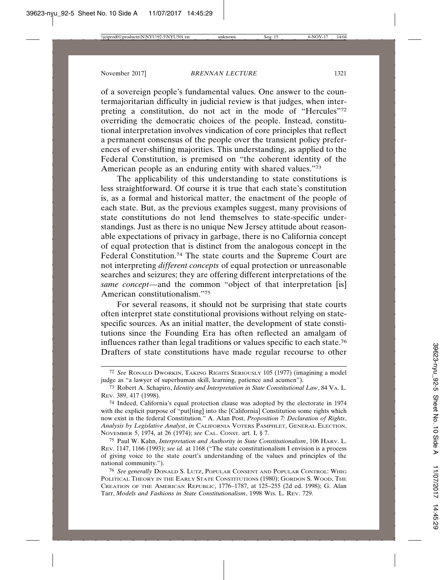of a sovereign people's fundamental values. One answer to the countermajoritarian difficulty in judicial review is that judges, when interpreting a constitution, do not act in the mode of "Hercules"72 overriding the democratic choices of the people. Instead, constitutional interpretation involves vindication of core principles that reflect a permanent consensus of the people over the transient policy preferences of ever-shifting majorities. This understanding, as applied to the Federal Constitution, is premised on "the coherent identity of the American people as an enduring entity with shared values."73

The applicability of this understanding to state constitutions is less straightforward. Of course it is true that each state's constitution is, as a formal and historical matter, the enactment of the people of each state. But, as the previous examples suggest, many provisions of state constitutions do not lend themselves to state-specific understandings. Just as there is no unique New Jersey attitude about reasonable expectations of privacy in garbage, there is no California concept of equal protection that is distinct from the analogous concept in the Federal Constitution.<sup>74</sup> The state courts and the Supreme Court are not interpreting *different concepts* of equal protection or unreasonable searches and seizures; they are offering different interpretations of the *same concept*—and the common "object of that interpretation [is] American constitutionalism."75

For several reasons, it should not be surprising that state courts often interpret state constitutional provisions without relying on statespecific sources. As an initial matter, the development of state constitutions since the Founding Era has often reflected an amalgam of influences rather than legal traditions or values specific to each state.76 Drafters of state constitutions have made regular recourse to other

75 Paul W. Kahn, *Interpretation and Authority in State Constitutionalism*, 106 HARV. L. REV. 1147, 1166 (1993); *see id.* at 1168 ("The state constitutionalism I envision is a process of giving voice to the state court's understanding of the values and principles of the national community.").

<sup>72</sup> *See* RONALD DWORKIN, TAKING RIGHTS SERIOUSLY 105 (1977) (imagining a model judge as "a lawyer of superhuman skill, learning, patience and acumen").

<sup>73</sup> Robert A. Schapiro, *Identity and Interpretation in State Constitutional Law*, 84 VA. L. REV. 389, 417 (1998).

<sup>74</sup> Indeed, California's equal protection clause was adopted by the electorate in 1974 with the explicit purpose of "put[ting] into the [California] Constitution some rights which now exist in the federal Constitution." A. Alan Post, *Proposition 7: Declaration of Rights*, *Analysis by Legislative Analyst*, *in* CALIFORNIA VOTERS PAMPHLET, GENERAL ELECTION, NOVEMBER 5, 1974, at 26 (1974); *see* CAL. CONST. art. I, § 7.

<sup>76</sup> *See generally* DONALD S. LUTZ, POPULAR CONSENT AND POPULAR CONTROL: WHIG POLITICAL THEORY IN THE EARLY STATE CONSTITUTIONS (1980); GORDON S. WOOD, THE CREATION OF THE AMERICAN REPUBLIC, 1776–1787, at 125–255 (2d ed. 1998); G. Alan Tarr, *Models and Fashions in State Constitutionalism*, 1998 WIS. L. REV. 729.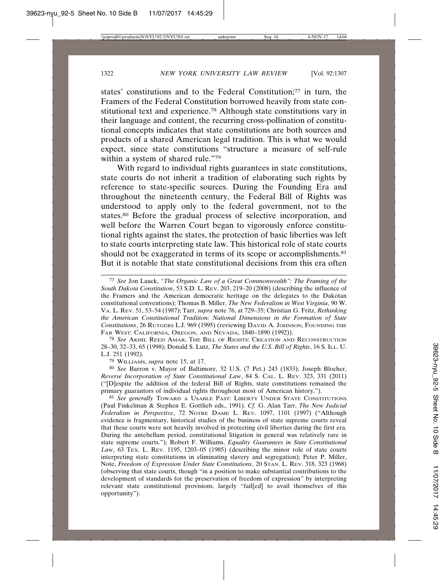states' constitutions and to the Federal Constitution;77 in turn, the Framers of the Federal Constitution borrowed heavily from state constitutional text and experience.78 Although state constitutions vary in their language and content, the recurring cross-pollination of constitutional concepts indicates that state constitutions are both sources and products of a shared American legal tradition. This is what we would expect, since state constitutions "structure a measure of self-rule within a system of shared rule."79

With regard to individual rights guarantees in state constitutions, state courts do not inherit a tradition of elaborating such rights by reference to state-specific sources. During the Founding Era and throughout the nineteenth century, the Federal Bill of Rights was understood to apply only to the federal government, not to the states.80 Before the gradual process of selective incorporation, and well before the Warren Court began to vigorously enforce constitutional rights against the states, the protection of basic liberties was left to state courts interpreting state law. This historical role of state courts should not be exaggerated in terms of its scope or accomplishments.<sup>81</sup> But it is notable that state constitutional decisions from this era often

78 *See* AKHIL REED AMAR, THE BILL OF RIGHTS: CREATION AND RECONSTRUCTION 28–30, 32–33, 65 (1998); Donald S. Lutz, *The States and the U.S. Bill of Rights*, 16 S. ILL. U. L.J. 251 (1992).

79 WILLIAMS, *supra* note 15, at 17.

80 *See* Barron v. Mayor of Baltimore, 32 U.S. (7 Pet.) 243 (1833); Joseph Blocher, *Reverse Incorporation of State Constitutional Law*, 84 S. CAL. L. REV. 323, 331 (2011) ("[D]espite the addition of the federal Bill of Rights, state constitutions remained the primary guarantors of individual rights throughout most of American history.").

81 *See generally* TOWARD A USABLE PAST: LIBERTY UNDER STATE CONSTITUTIONS (Paul Finkelman & Stephen E. Gottlieb eds., 1991). *Cf.* G. Alan Tarr, *The New Judicial Federalism in Perspective*, 72 NOTRE DAME L. REV. 1097, 1101 (1997) ("Although evidence is fragmentary, historical studies of the business of state supreme courts reveal that these courts were not heavily involved in protecting civil liberties during the first era. During the antebellum period, constitutional litigation in general was relatively rare in state supreme courts."); Robert F. Williams, *Equality Guarantees in State Constitutional Law*, 63 TEX. L. REV. 1195, 1203–05 (1985) (describing the minor role of state courts interpreting state constitutions in eliminating slavery and segregation); Peter P. Miller, Note, *Freedom of Expression Under State Constitutions*, 20 STAN. L. REV. 318, 323 (1968) (observing that state courts, though "in a position to make substantial contributions to the development of standards for the preservation of freedom of expression" by interpreting relevant state constitutional provisions, largely "fail[ed] to avail themselves of this opportunity").

<sup>77</sup> *See* Jon Lauck, *"The Organic Law of a Great Commonwealth": The Framing of the South Dakota Constitution*, 53 S.D. L. REV. 203, 219–20 (2008) (describing the influence of the Framers and the American democratic heritage on the delegates to the Dakotan constitutional conventions); Thomas B. Miller, *The New Federalism in West Virginia*, 90 W. VA. L. REV. 51, 53–54 (1987); Tarr, *supra* note 76, at 729–35; Christian G. Fritz, *Rethinking the American Constitutional Tradition: National Dimensions in the Formation of State Constitutions*, 26 RUTGERS L.J. 969 (1995) (reviewing DAVID A. JOHNSON, FOUNDING THE FAR WEST: CALIFORNIA, OREGON, AND NEVADA, 1840–1890 (1992)).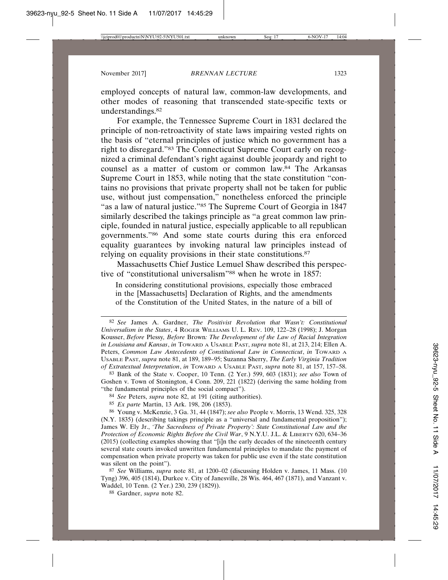employed concepts of natural law, common-law developments, and other modes of reasoning that transcended state-specific texts or understandings.82

For example, the Tennessee Supreme Court in 1831 declared the principle of non-retroactivity of state laws impairing vested rights on the basis of "eternal principles of justice which no government has a right to disregard."83 The Connecticut Supreme Court early on recognized a criminal defendant's right against double jeopardy and right to counsel as a matter of custom or common law.84 The Arkansas Supreme Court in 1853, while noting that the state constitution "contains no provisions that private property shall not be taken for public use, without just compensation," nonetheless enforced the principle "as a law of natural justice."85 The Supreme Court of Georgia in 1847 similarly described the takings principle as "a great common law principle, founded in natural justice, especially applicable to all republican governments."86 And some state courts during this era enforced equality guarantees by invoking natural law principles instead of relying on equality provisions in their state constitutions.<sup>87</sup>

Massachusetts Chief Justice Lemuel Shaw described this perspective of "constitutional universalism"<sup>88</sup> when he wrote in 1857:

In considering constitutional provisions, especially those embraced in the [Massachusetts] Declaration of Rights, and the amendments of the Constitution of the United States, in the nature of a bill of

83 Bank of the State v. Cooper, 10 Tenn. (2 Yer.) 599, 603 (1831); *see also* Town of Goshen v. Town of Stonington, 4 Conn. 209, 221 (1822) (deriving the same holding from "the fundamental principles of the social compact").

87 *See* Williams, *supra* note 81, at 1200–02 (discussing Holden v. James, 11 Mass. (10 Tyng) 396, 405 (1814), Durkee v. City of Janesville, 28 Wis. 464, 467 (1871), and Vanzant v. Waddel, 10 Tenn. (2 Yer.) 230, 239 (1829)).

88 Gardner, *supra* note 82.

<sup>82</sup> *See* James A. Gardner, *The Positivist Revolution that Wasn't: Constitutional Universalism in the States*, 4 ROGER WILLIAMS U. L. REV. 109, 122–28 (1998); J. Morgan Kousser, *Before* Plessy*, Before* Brown*: The Development of the Law of Racial Integration in Louisiana and Kansas*, *in* TOWARD A USABLE PAST, *supra* note 81, at 213, 214; Ellen A. Peters, *Common Law Antecedents of Constitutional Law in Connecticut*, *in* TOWARD A USABLE PAST, *supra* note 81, at 189, 189–95; Suzanna Sherry, *The Early Virginia Tradition of Extratextual Interpretation*, *in* TOWARD A USABLE PAST, *supra* note 81, at 157, 157–58.

<sup>84</sup> *See* Peters, *supra* note 82, at 191 (citing authorities).

<sup>85</sup> *Ex parte* Martin, 13 Ark. 198, 206 (1853).

<sup>86</sup> Young v. McKenzie, 3 Ga. 31, 44 (1847); *see also* People v. Morris, 13 Wend. 325, 328 (N.Y. 1835) (describing takings principle as a "universal and fundamental proposition"); James W. Ely Jr., *'The Sacredness of Private Property': State Constitutional Law and the Protection of Economic Rights Before the Civil War*, 9 N.Y.U. J.L. & LIBERTY 620, 634–36 (2015) (collecting examples showing that "[i]n the early decades of the nineteenth century several state courts invoked unwritten fundamental principles to mandate the payment of compensation when private property was taken for public use even if the state constitution was silent on the point").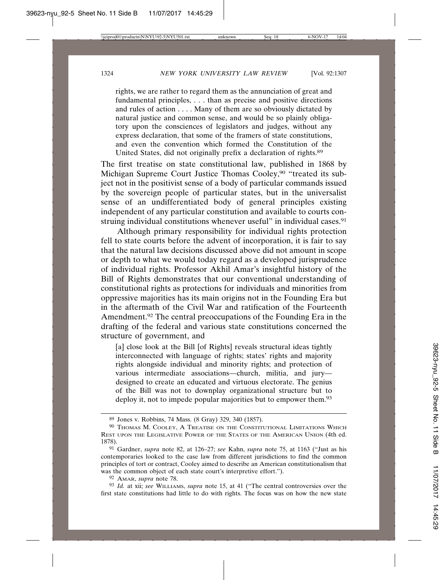rights, we are rather to regard them as the annunciation of great and fundamental principles, . . . than as precise and positive directions and rules of action . . . . Many of them are so obviously dictated by natural justice and common sense, and would be so plainly obligatory upon the consciences of legislators and judges, without any express declaration, that some of the framers of state constitutions, and even the convention which formed the Constitution of the United States, did not originally prefix a declaration of rights.89

The first treatise on state constitutional law, published in 1868 by Michigan Supreme Court Justice Thomas Cooley,90 "treated its subject not in the positivist sense of a body of particular commands issued by the sovereign people of particular states, but in the universalist sense of an undifferentiated body of general principles existing independent of any particular constitution and available to courts construing individual constitutions whenever useful" in individual cases.<sup>91</sup>

Although primary responsibility for individual rights protection fell to state courts before the advent of incorporation, it is fair to say that the natural law decisions discussed above did not amount in scope or depth to what we would today regard as a developed jurisprudence of individual rights. Professor Akhil Amar's insightful history of the Bill of Rights demonstrates that our conventional understanding of constitutional rights as protections for individuals and minorities from oppressive majorities has its main origins not in the Founding Era but in the aftermath of the Civil War and ratification of the Fourteenth Amendment.92 The central preoccupations of the Founding Era in the drafting of the federal and various state constitutions concerned the structure of government, and

[a] close look at the Bill [of Rights] reveals structural ideas tightly interconnected with language of rights; states' rights and majority rights alongside individual and minority rights; and protection of various intermediate associations—church, militia, and jury designed to create an educated and virtuous electorate. The genius of the Bill was not to downplay organizational structure but to deploy it, not to impede popular majorities but to empower them.<sup>93</sup>

92 AMAR, *supra* note 78.

93 *Id.* at xii; *see* WILLIAMS, *supra* note 15, at 41 ("The central controversies over the first state constitutions had little to do with rights. The focus was on how the new state

<sup>89</sup> Jones v. Robbins, 74 Mass. (8 Gray) 329, 340 (1857).

 $90$  Thomas M. Cooley, A Treatise on the Constitutional Limitations Which REST UPON THE LEGISLATIVE POWER OF THE STATES OF THE AMERICAN UNION (4th ed. 1878).

<sup>91</sup> Gardner, *supra* note 82, at 126–27; *see* Kahn, *supra* note 75, at 1163 ("Just as his contemporaries looked to the case law from different jurisdictions to find the common principles of tort or contract, Cooley aimed to describe an American constitutionalism that was the common object of each state court's interpretive effort.").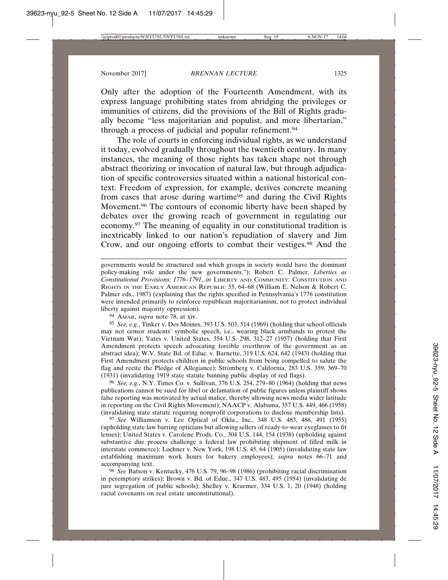Only after the adoption of the Fourteenth Amendment, with its express language prohibiting states from abridging the privileges or immunities of citizens, did the provisions of the Bill of Rights gradually become "less majoritarian and populist, and more libertarian," through a process of judicial and popular refinement.94

The role of courts in enforcing individual rights, as we understand it today, evolved gradually throughout the twentieth century. In many instances, the meaning of those rights has taken shape not through abstract theorizing or invocation of natural law, but through adjudication of specific controversies situated within a national historical context. Freedom of expression, for example, derives concrete meaning from cases that arose during wartime<sup>95</sup> and during the Civil Rights Movement.96 The contours of economic liberty have been shaped by debates over the growing reach of government in regulating our economy.97 The meaning of equality in our constitutional tradition is inextricably linked to our nation's repudiation of slavery and Jim Crow, and our ongoing efforts to combat their vestiges.98 And the

governments would be structured and which groups in society would have the dominant policy-making role under the new governments."); Robert C. Palmer, *Liberties as Constitutional Provisions: 1776–1791*, *in* LIBERTY AND COMMUNITY: CONSTITUTION AND RIGHTS IN THE EARLY AMERICAN REPUBLIC 55, 64–68 (William E. Nelson & Robert C. Palmer eds., 1987) (explaining that the rights specified in Pennsylvania's 1776 constitution were intended primarily to reinforce republican majoritarianism, not to protect individual liberty against majority oppression).

94 AMAR, *supra* note 78, at xiv.

95 *See, e.g.*, Tinker v. Des Moines, 393 U.S. 503, 514 (1969) (holding that school officials may not censor students' symbolic speech, i.e., wearing black armbands to protest the Vietnam War); Yates v. United States, 354 U.S. 298, 312–27 (1957) (holding that First Amendment protects speech advocating forcible overthrow of the government as an abstract idea); W.V. State Bd. of Educ. v. Barnette, 319 U.S. 624, 642 (1943) (holding that First Amendment protects children in public schools from being compelled to salute the flag and recite the Pledge of Allegiance); Stromberg v. California, 283 U.S. 359, 369–70 (1931) (invalidating 1919 state statute banning public display of red flags).

96 *See, e.g.*, N.Y. Times Co. v. Sullivan, 376 U.S. 254, 279–80 (1964) (holding that news publications cannot be sued for libel or defamation of public figures unless plaintiff shows false reporting was motivated by actual malice, thereby allowing news media wider latitude in reporting on the Civil Rights Movement); NAACP v. Alabama, 357 U.S. 449, 466 (1958) (invalidating state statute requiring nonprofit corporations to disclose membership lists).

97 *See* Williamson v. Lee Optical of Okla., Inc., 348 U.S. 483, 486, 491 (1955) (upholding state law barring opticians but allowing sellers of ready-to-wear eyeglasses to fit lenses); United States v. Carolene Prods. Co., 304 U.S. 144, 154 (1938) (upholding against substantive due process challenge a federal law prohibiting shipment of filled milk in interstate commerce); Lochner v. New York, 198 U.S. 45, 64 (1905) (invalidating state law establishing maximum work hours for bakery employees); *supra* notes 66–71 and accompanying text.

98 *See* Batson v. Kentucky, 476 U.S. 79, 96–98 (1986) (prohibiting racial discrimination in peremptory strikes); Brown v. Bd. of Educ., 347 U.S. 483, 495 (1954) (invalidating de jure segregation of public schools); Shelley v. Kraemer, 334 U.S. 1, 20 (1948) (holding racial covenants on real estate unconstitutional).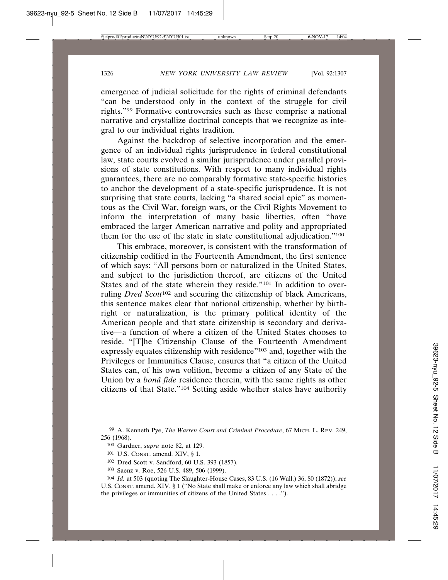emergence of judicial solicitude for the rights of criminal defendants "can be understood only in the context of the struggle for civil rights."99 Formative controversies such as these comprise a national narrative and crystallize doctrinal concepts that we recognize as integral to our individual rights tradition.

Against the backdrop of selective incorporation and the emergence of an individual rights jurisprudence in federal constitutional law, state courts evolved a similar jurisprudence under parallel provisions of state constitutions. With respect to many individual rights guarantees, there are no comparably formative state-specific histories to anchor the development of a state-specific jurisprudence. It is not surprising that state courts, lacking "a shared social epic" as momentous as the Civil War, foreign wars, or the Civil Rights Movement to inform the interpretation of many basic liberties, often "have embraced the larger American narrative and polity and appropriated them for the use of the state in state constitutional adjudication."100

This embrace, moreover, is consistent with the transformation of citizenship codified in the Fourteenth Amendment, the first sentence of which says: "All persons born or naturalized in the United States, and subject to the jurisdiction thereof, are citizens of the United States and of the state wherein they reside."<sup>101</sup> In addition to overruling *Dred Scott*102 and securing the citizenship of black Americans, this sentence makes clear that national citizenship, whether by birthright or naturalization, is the primary political identity of the American people and that state citizenship is secondary and derivative—a function of where a citizen of the United States chooses to reside. "[T]he Citizenship Clause of the Fourteenth Amendment expressly equates citizenship with residence"<sup>103</sup> and, together with the Privileges or Immunities Clause, ensures that "a citizen of the United States can, of his own volition, become a citizen of any State of the Union by a *bonâ fide* residence therein, with the same rights as other citizens of that State."104 Setting aside whether states have authority

<sup>99</sup> A. Kenneth Pye, *The Warren Court and Criminal Procedure*, 67 MICH. L. REV. 249, 256 (1968).

<sup>100</sup> Gardner, *supra* note 82, at 129.

<sup>101</sup> U.S. CONST. amend. XIV, § 1.

<sup>102</sup> Dred Scott v. Sandford, 60 U.S. 393 (1857).

<sup>103</sup> Saenz v. Roe, 526 U.S. 489, 506 (1999).

<sup>104</sup> *Id.* at 503 (quoting The Slaughter-House Cases, 83 U.S. (16 Wall.) 36, 80 (1872)); *see* U.S. CONST. amend. XIV, § 1 ("No State shall make or enforce any law which shall abridge the privileges or immunities of citizens of the United States . . . .").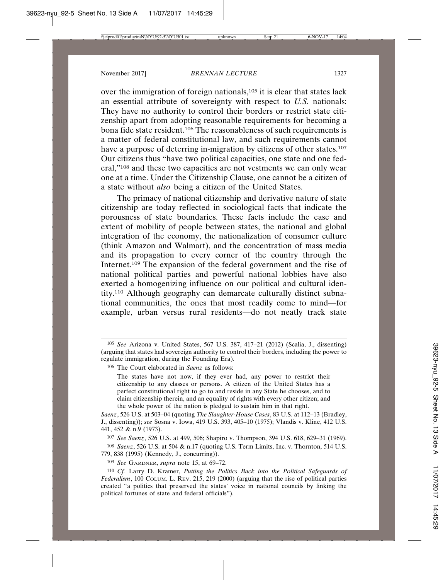over the immigration of foreign nationals,<sup>105</sup> it is clear that states lack an essential attribute of sovereignty with respect to *U.S.* nationals: They have no authority to control their borders or restrict state citizenship apart from adopting reasonable requirements for becoming a bona fide state resident.106 The reasonableness of such requirements is a matter of federal constitutional law, and such requirements cannot have a purpose of deterring in-migration by citizens of other states.<sup>107</sup> Our citizens thus "have two political capacities, one state and one federal,"108 and these two capacities are not vestments we can only wear one at a time. Under the Citizenship Clause, one cannot be a citizen of a state without *also* being a citizen of the United States.

The primacy of national citizenship and derivative nature of state citizenship are today reflected in sociological facts that indicate the porousness of state boundaries. These facts include the ease and extent of mobility of people between states, the national and global integration of the economy, the nationalization of consumer culture (think Amazon and Walmart), and the concentration of mass media and its propagation to every corner of the country through the Internet.109 The expansion of the federal government and the rise of national political parties and powerful national lobbies have also exerted a homogenizing influence on our political and cultural identity.110 Although geography can demarcate culturally distinct subnational communities, the ones that most readily come to mind—for example, urban versus rural residents—do not neatly track state

<sup>105</sup> *See* Arizona v. United States, 567 U.S. 387, 417–21 (2012) (Scalia, J., dissenting) (arguing that states had sovereign authority to control their borders, including the power to regulate immigration, during the Founding Era).

<sup>106</sup> The Court elaborated in *Saenz* as follows:

The states have not now, if they ever had, any power to restrict their citizenship to any classes or persons. A citizen of the United States has a perfect constitutional right to go to and reside in any State he chooses, and to claim citizenship therein, and an equality of rights with every other citizen; and the whole power of the nation is pledged to sustain him in that right.

*Saenz*, 526 U.S. at 503–04 (quoting *The Slaughter-House Cases*, 83 U.S. at 112–13 (Bradley, J., dissenting)); *see* Sosna v. Iowa, 419 U.S. 393, 405–10 (1975); Vlandis v. Kline, 412 U.S. 441, 452 & n.9 (1973).

<sup>107</sup> *See Saenz*, 526 U.S. at 499, 506; Shapiro v. Thompson, 394 U.S. 618, 629–31 (1969). 108 *Saenz*, 526 U.S. at 504 & n.17 (quoting U.S. Term Limits, Inc. v. Thornton, 514 U.S. 779, 838 (1995) (Kennedy, J., concurring)).

<sup>109</sup> *See* GARDNER, *supra* note 15, at 69–72.

<sup>110</sup> *Cf.* Larry D. Kramer, *Putting the Politics Back into the Political Safeguards of Federalism*, 100 COLUM. L. REV. 215, 219 (2000) (arguing that the rise of political parties created "a politics that preserved the states' voice in national councils by linking the political fortunes of state and federal officials").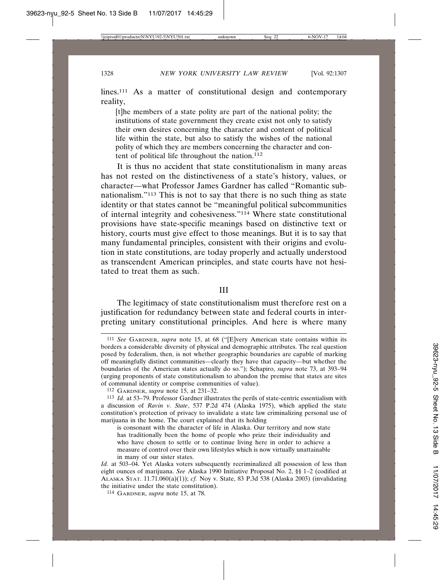lines.<sup>111</sup> As a matter of constitutional design and contemporary reality,

[t]he members of a state polity are part of the national polity; the institutions of state government they create exist not only to satisfy their own desires concerning the character and content of political life within the state, but also to satisfy the wishes of the national polity of which they are members concerning the character and content of political life throughout the nation.<sup>112</sup>

It is thus no accident that state constitutionalism in many areas has not rested on the distinctiveness of a state's history, values, or character—what Professor James Gardner has called "Romantic subnationalism."113 This is not to say that there is no such thing as state identity or that states cannot be "meaningful political subcommunities of internal integrity and cohesiveness."114 Where state constitutional provisions have state-specific meanings based on distinctive text or history, courts must give effect to those meanings. But it is to say that many fundamental principles, consistent with their origins and evolution in state constitutions, are today properly and actually understood as transcendent American principles, and state courts have not hesitated to treat them as such.

III

The legitimacy of state constitutionalism must therefore rest on a justification for redundancy between state and federal courts in interpreting unitary constitutional principles. And here is where many

<sup>111</sup> *See* GARDNER, *supra* note 15, at 68 ("[E]very American state contains within its borders a considerable diversity of physical and demographic attributes. The real question posed by federalism, then, is not whether geographic boundaries are capable of marking off meaningfully distinct communities—clearly they have that capacity—but whether the boundaries of the American states actually do so."); Schapiro, *supra* note 73, at 393–94 (urging proponents of state constitutionalism to abandon the premise that states are sites of communal identity or comprise communities of value).

<sup>112</sup> GARDNER, *supra* note 15, at 231–32.

<sup>113</sup> *Id.* at 53–79. Professor Gardner illustrates the perils of state-centric essentialism with a discussion of *Ravin v. State*, 537 P.2d 474 (Alaska 1975), which applied the state constitution's protection of privacy to invalidate a state law criminalizing personal use of marijuana in the home. The court explained that its holding

is consonant with the character of life in Alaska. Our territory and now state has traditionally been the home of people who prize their individuality and who have chosen to settle or to continue living here in order to achieve a measure of control over their own lifestyles which is now virtually unattainable in many of our sister states.

*Id.* at 503–04. Yet Alaska voters subsequently recriminalized all possession of less than eight ounces of marijuana. *See* Alaska 1990 Initiative Proposal No. 2, §§ 1–2 (codified at ALASKA STAT. 11.71.060(a)(1)); *cf.* Noy v. State, 83 P.3d 538 (Alaska 2003) (invalidating the initiative under the state constitution).

<sup>114</sup> GARDNER, *supra* note 15, at 78.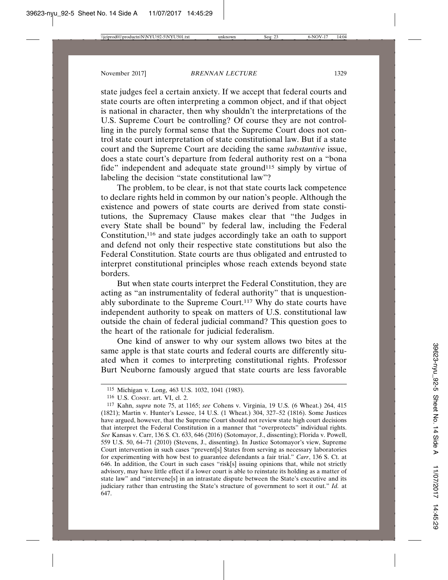state judges feel a certain anxiety. If we accept that federal courts and state courts are often interpreting a common object, and if that object is national in character, then why shouldn't the interpretations of the U.S. Supreme Court be controlling? Of course they are not controlling in the purely formal sense that the Supreme Court does not control state court interpretation of state constitutional law. But if a state court and the Supreme Court are deciding the same *substantive* issue, does a state court's departure from federal authority rest on a "bona fide" independent and adequate state ground<sup>115</sup> simply by virtue of labeling the decision "state constitutional law"?

The problem, to be clear, is not that state courts lack competence to declare rights held in common by our nation's people. Although the existence and powers of state courts are derived from state constitutions, the Supremacy Clause makes clear that "the Judges in every State shall be bound" by federal law, including the Federal Constitution,<sup>116</sup> and state judges accordingly take an oath to support and defend not only their respective state constitutions but also the Federal Constitution. State courts are thus obligated and entrusted to interpret constitutional principles whose reach extends beyond state borders.

But when state courts interpret the Federal Constitution, they are acting as "an instrumentality of federal authority" that is unquestionably subordinate to the Supreme Court.<sup>117</sup> Why do state courts have independent authority to speak on matters of U.S. constitutional law outside the chain of federal judicial command? This question goes to the heart of the rationale for judicial federalism.

One kind of answer to why our system allows two bites at the same apple is that state courts and federal courts are differently situated when it comes to interpreting constitutional rights. Professor Burt Neuborne famously argued that state courts are less favorable

<sup>115</sup> Michigan v. Long, 463 U.S. 1032, 1041 (1983).

<sup>116</sup> U.S. CONST. art. VI, cl. 2.

<sup>117</sup> Kahn, *supra* note 75, at 1165; *see* Cohens v. Virginia, 19 U.S. (6 Wheat.) 264, 415 (1821); Martin v. Hunter's Lessee, 14 U.S. (1 Wheat.) 304, 327–52 (1816). Some Justices have argued, however, that the Supreme Court should not review state high court decisions that interpret the Federal Constitution in a manner that "overprotects" individual rights. *See* Kansas v. Carr, 136 S. Ct. 633, 646 (2016) (Sotomayor, J., dissenting); Florida v. Powell, 559 U.S. 50, 64–71 (2010) (Stevens, J., dissenting). In Justice Sotomayor's view, Supreme Court intervention in such cases "prevent[s] States from serving as necessary laboratories for experimenting with how best to guarantee defendants a fair trial." *Carr*, 136 S. Ct. at 646. In addition, the Court in such cases "risk[s] issuing opinions that, while not strictly advisory, may have little effect if a lower court is able to reinstate its holding as a matter of state law" and "intervene[s] in an intrastate dispute between the State's executive and its judiciary rather than entrusting the State's structure of government to sort it out." *Id.* at 647.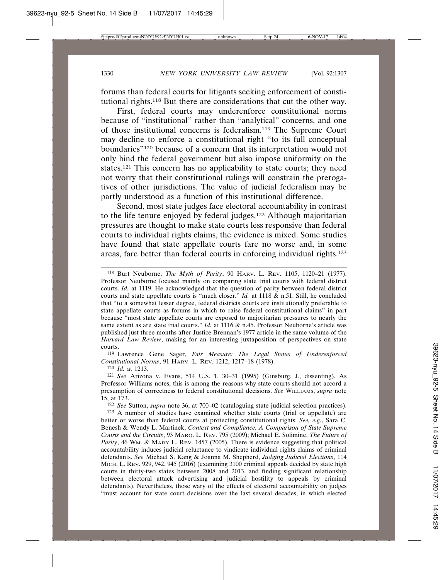forums than federal courts for litigants seeking enforcement of constitutional rights.118 But there are considerations that cut the other way.

First, federal courts may underenforce constitutional norms because of "institutional" rather than "analytical" concerns, and one of those institutional concerns is federalism.119 The Supreme Court may decline to enforce a constitutional right "to its full conceptual boundaries"120 because of a concern that its interpretation would not only bind the federal government but also impose uniformity on the states.121 This concern has no applicability to state courts; they need not worry that their constitutional rulings will constrain the prerogatives of other jurisdictions. The value of judicial federalism may be partly understood as a function of this institutional difference.

Second, most state judges face electoral accountability in contrast to the life tenure enjoyed by federal judges.122 Although majoritarian pressures are thought to make state courts less responsive than federal courts to individual rights claims, the evidence is mixed. Some studies have found that state appellate courts fare no worse and, in some areas, fare better than federal courts in enforcing individual rights.123

119 Lawrence Gene Sager, *Fair Measure: The Legal Status of Underenforced Constitutional Norms*, 91 HARV. L. REV. 1212, 1217–18 (1978).

120 *Id.* at 1213.

122 *See* Sutton, *supra* note 36, at 700–02 (cataloguing state judicial selection practices). 123 A number of studies have examined whether state courts (trial or appellate) are

<sup>118</sup> Burt Neuborne, *The Myth of Parity*, 90 HARV. L. REV. 1105, 1120–21 (1977). Professor Neuborne focused mainly on comparing state trial courts with federal district courts. *Id.* at 1119. He acknowledged that the question of parity between federal district courts and state appellate courts is "much closer." *Id.* at 1118 & n.51. Still, he concluded that "to a somewhat lesser degree, federal districts courts are institutionally preferable to state appellate courts as forums in which to raise federal constitutional claims" in part because "most state appellate courts are exposed to majoritarian pressures to nearly the same extent as are state trial courts." *Id.* at 1116 & n.45. Professor Neuborne's article was published just three months after Justice Brennan's 1977 article in the same volume of the *Harvard Law Review*, making for an interesting juxtaposition of perspectives on state courts.

<sup>121</sup> *See* Arizona v. Evans, 514 U.S. 1, 30–31 (1995) (Ginsburg, J., dissenting). As Professor Williams notes, this is among the reasons why state courts should not accord a presumption of correctness to federal constitutional decisions. *See* WILLIAMS, *supra* note 15, at 173.

better or worse than federal courts at protecting constitutional rights. *See, e.g.*, Sara C. Benesh & Wendy L. Martinek, *Context and Compliance: A Comparison of State Supreme Courts and the Circuits*, 93 MARQ. L. REV. 795 (2009); Michael E. Solimine, *The Future of Parity*, 46 WM. & MARY L. REV. 1457 (2005). There is evidence suggesting that political accountability induces judicial reluctance to vindicate individual rights claims of criminal defendants. *See* Michael S. Kang & Joanna M. Shepherd, *Judging Judicial Elections*, 114 MICH. L. REV. 929, 942, 945 (2016) (examining 3100 criminal appeals decided by state high courts in thirty-two states between 2008 and 2013, and finding significant relationship between electoral attack advertising and judicial hostility to appeals by criminal defendants). Nevertheless, those wary of the effects of electoral accountability on judges "must account for state court decisions over the last several decades, in which elected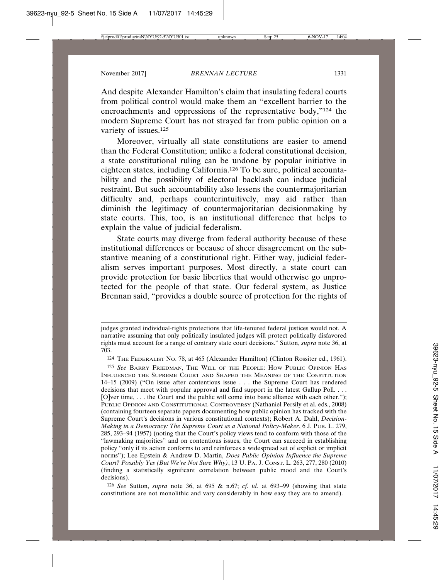And despite Alexander Hamilton's claim that insulating federal courts from political control would make them an "excellent barrier to the encroachments and oppressions of the representative body,"124 the modern Supreme Court has not strayed far from public opinion on a variety of issues.<sup>125</sup>

Moreover, virtually all state constitutions are easier to amend than the Federal Constitution; unlike a federal constitutional decision, a state constitutional ruling can be undone by popular initiative in eighteen states, including California.126 To be sure, political accountability and the possibility of electoral backlash can induce judicial restraint. But such accountability also lessens the countermajoritarian difficulty and, perhaps counterintuitively, may aid rather than diminish the legitimacy of countermajoritarian decisionmaking by state courts. This, too, is an institutional difference that helps to explain the value of judicial federalism.

State courts may diverge from federal authority because of these institutional differences or because of sheer disagreement on the substantive meaning of a constitutional right. Either way, judicial federalism serves important purposes. Most directly, a state court can provide protection for basic liberties that would otherwise go unprotected for the people of that state. Our federal system, as Justice Brennan said, "provides a double source of protection for the rights of

126 *See* Sutton, *supra* note 36, at 695 & n.67; *cf. id.* at 693–99 (showing that state constitutions are not monolithic and vary considerably in how easy they are to amend).

judges granted individual-rights protections that life-tenured federal justices would not. A narrative assuming that only politically insulated judges will protect politically disfavored rights must account for a range of contrary state court decisions." Sutton, *supra* note 36, at 703.

<sup>124</sup> THE FEDERALIST NO. 78, at 465 (Alexander Hamilton) (Clinton Rossiter ed., 1961).

<sup>125</sup> *See* BARRY FRIEDMAN, THE WILL OF THE PEOPLE: HOW PUBLIC OPINION HAS INFLUENCED THE SUPREME COURT AND SHAPED THE MEANING OF THE CONSTITUTION 14–15 (2009) ("On issue after contentious issue . . . the Supreme Court has rendered decisions that meet with popular approval and find support in the latest Gallup Poll. . . . [O]ver time, . . . the Court and the public will come into basic alliance with each other."); PUBLIC OPINION AND CONSTITUTIONAL CONTROVERSY (Nathaniel Persily et al. eds., 2008) (containing fourteen separate papers documenting how public opinion has tracked with the Supreme Court's decisions in various constitutional contexts); Robert A. Dahl, *Decision-Making in a Democracy: The Supreme Court as a National Policy-Maker*, 6 J. PUB. L. 279, 285, 293–94 (1957) (noting that the Court's policy views tend to conform with those of the "lawmaking majorities" and on contentious issues, the Court can succeed in establishing policy "only if its action conforms to and reinforces a widespread set of explicit or implicit norms"); Lee Epstein & Andrew D. Martin, *Does Public Opinion Influence the Supreme Court? Possibly Yes (But We're Not Sure Why)*, 13 U. PA. J. CONST. L. 263, 277, 280 (2010) (finding a statistically significant correlation between public mood and the Court's decisions).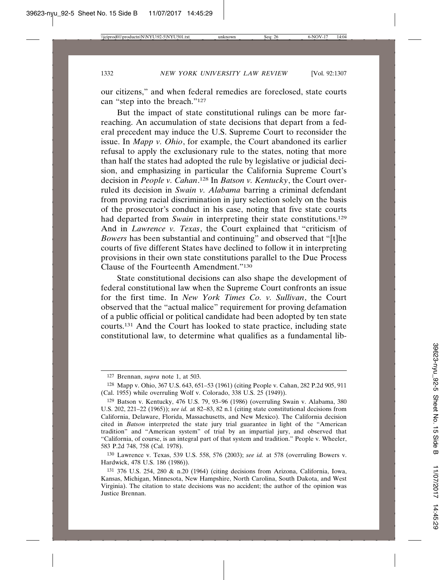our citizens," and when federal remedies are foreclosed, state courts can "step into the breach."127

But the impact of state constitutional rulings can be more farreaching. An accumulation of state decisions that depart from a federal precedent may induce the U.S. Supreme Court to reconsider the issue. In *Mapp v. Ohio*, for example, the Court abandoned its earlier refusal to apply the exclusionary rule to the states, noting that more than half the states had adopted the rule by legislative or judicial decision, and emphasizing in particular the California Supreme Court's decision in *People v. Cahan*. 128 In *Batson v. Kentucky*, the Court overruled its decision in *Swain v. Alabama* barring a criminal defendant from proving racial discrimination in jury selection solely on the basis of the prosecutor's conduct in his case, noting that five state courts had departed from *Swain* in interpreting their state constitutions.<sup>129</sup> And in *Lawrence v. Texas*, the Court explained that "criticism of *Bowers* has been substantial and continuing" and observed that "[t]he courts of five different States have declined to follow it in interpreting provisions in their own state constitutions parallel to the Due Process Clause of the Fourteenth Amendment."130

State constitutional decisions can also shape the development of federal constitutional law when the Supreme Court confronts an issue for the first time. In *New York Times Co. v. Sullivan*, the Court observed that the "actual malice" requirement for proving defamation of a public official or political candidate had been adopted by ten state courts.131 And the Court has looked to state practice, including state constitutional law, to determine what qualifies as a fundamental lib-

<sup>127</sup> Brennan, *supra* note 1, at 503.

<sup>128</sup> Mapp v. Ohio, 367 U.S. 643, 651–53 (1961) (citing People v. Cahan, 282 P.2d 905, 911 (Cal. 1955) while overruling Wolf v. Colorado,  $338$  U.S.  $25(1949)$ ).

<sup>129</sup> Batson v. Kentucky, 476 U.S. 79, 93–96 (1986) (overruling Swain v. Alabama, 380 U.S. 202, 221–22 (1965)); *see id.* at 82–83, 82 n.1 (citing state constitutional decisions from California, Delaware, Florida, Massachusetts, and New Mexico). The California decision cited in *Batson* interpreted the state jury trial guarantee in light of the "American tradition" and "American system" of trial by an impartial jury, and observed that "California, of course, is an integral part of that system and tradition." People v. Wheeler, 583 P.2d 748, 758 (Cal. 1978).

<sup>130</sup> Lawrence v. Texas, 539 U.S. 558, 576 (2003); *see id.* at 578 (overruling Bowers v. Hardwick, 478 U.S. 186 (1986)).

<sup>131</sup> 376 U.S. 254, 280 & n.20 (1964) (citing decisions from Arizona, California, Iowa, Kansas, Michigan, Minnesota, New Hampshire, North Carolina, South Dakota, and West Virginia). The citation to state decisions was no accident; the author of the opinion was Justice Brennan.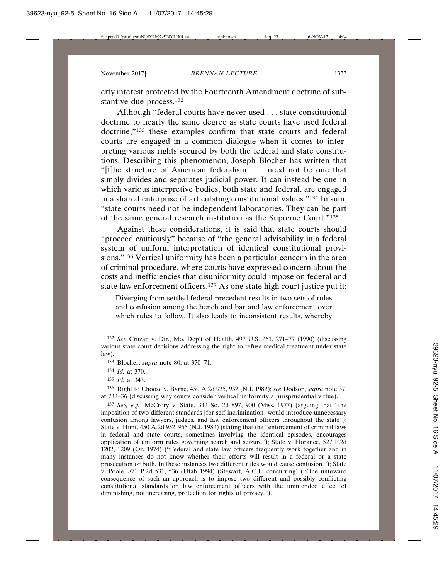erty interest protected by the Fourteenth Amendment doctrine of substantive due process.<sup>132</sup>

Although "federal courts have never used . . . state constitutional doctrine to nearly the same degree as state courts have used federal doctrine,"133 these examples confirm that state courts and federal courts are engaged in a common dialogue when it comes to interpreting various rights secured by both the federal and state constitutions. Describing this phenomenon, Joseph Blocher has written that "[t]he structure of American federalism . . . need not be one that simply divides and separates judicial power. It can instead be one in which various interpretive bodies, both state and federal, are engaged in a shared enterprise of articulating constitutional values."134 In sum, "state courts need not be independent laboratories. They can be part of the same general research institution as the Supreme Court."135

Against these considerations, it is said that state courts should "proceed cautiously" because of "the general advisability in a federal system of uniform interpretation of identical constitutional provisions."136 Vertical uniformity has been a particular concern in the area of criminal procedure, where courts have expressed concern about the costs and inefficiencies that disuniformity could impose on federal and state law enforcement officers.137 As one state high court justice put it:

Diverging from settled federal precedent results in two sets of rules and confusion among the bench and bar and law enforcement over which rules to follow. It also leads to inconsistent results, whereby

136 Right to Choose v. Byrne, 450 A.2d 925, 932 (N.J. 1982); *see* Dodson, *supra* note 37, at 732–36 (discussing why courts consider vertical uniformity a jurisprudential virtue).

137 *See, e.g.*, McCrory v. State, 342 So. 2d 897, 900 (Miss. 1977) (arguing that "the imposition of two different standards [for self-incrimination] would introduce unnecessary confusion among lawyers, judges, and law enforcement officers throughout the state"); State v. Hunt, 450 A.2d 952, 955 (N.J. 1982) (stating that the "enforcement of criminal laws in federal and state courts, sometimes involving the identical episodes, encourages application of uniform rules governing search and seizure"); State v. Florance, 527 P.2d 1202, 1209 (Or. 1974) ("Federal and state law officers frequently work together and in many instances do not know whether their efforts will result in a federal or a state prosecution or both. In these instances two different rules would cause confusion."); State v. Poole, 871 P.2d 531, 536 (Utah 1994) (Stewart, A.C.J., concurring) ("One untoward consequence of such an approach is to impose two different and possibly conflicting constitutional standards on law enforcement officers with the unintended effect of diminishing, not increasing, protection for rights of privacy.").

<sup>132</sup> *See* Cruzan v. Dir., Mo. Dep't of Health, 497 U.S. 261, 271–77 (1990) (discussing various state court decisions addressing the right to refuse medical treatment under state law).

<sup>133</sup> Blocher, *supra* note 80, at 370–71.

<sup>134</sup> *Id.* at 370.

<sup>135</sup> *Id.* at 343.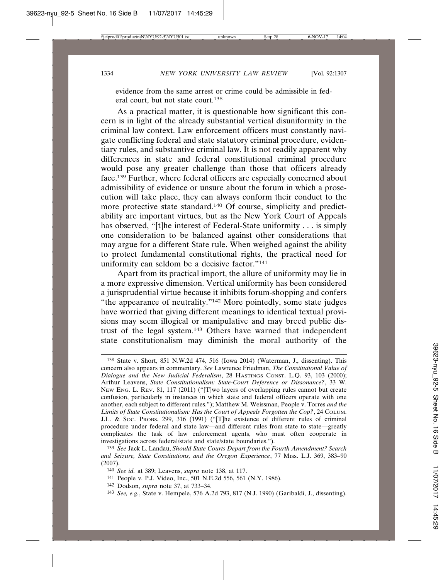evidence from the same arrest or crime could be admissible in federal court, but not state court.<sup>138</sup>

As a practical matter, it is questionable how significant this concern is in light of the already substantial vertical disuniformity in the criminal law context. Law enforcement officers must constantly navigate conflicting federal and state statutory criminal procedure, evidentiary rules, and substantive criminal law. It is not readily apparent why differences in state and federal constitutional criminal procedure would pose any greater challenge than those that officers already face.139 Further, where federal officers are especially concerned about admissibility of evidence or unsure about the forum in which a prosecution will take place, they can always conform their conduct to the more protective state standard.140 Of course, simplicity and predictability are important virtues, but as the New York Court of Appeals has observed, "[t]he interest of Federal-State uniformity . . . is simply one consideration to be balanced against other considerations that may argue for a different State rule. When weighed against the ability to protect fundamental constitutional rights, the practical need for uniformity can seldom be a decisive factor."141

Apart from its practical import, the allure of uniformity may lie in a more expressive dimension. Vertical uniformity has been considered a jurisprudential virtue because it inhibits forum-shopping and confers "the appearance of neutrality."142 More pointedly, some state judges have worried that giving different meanings to identical textual provisions may seem illogical or manipulative and may breed public distrust of the legal system.143 Others have warned that independent state constitutionalism may diminish the moral authority of the

- 142 Dodson, *supra* note 37, at 733–34.
- 143 *See, e.g.*, State v. Hempele, 576 A.2d 793, 817 (N.J. 1990) (Garibaldi, J., dissenting).

<sup>138</sup> State v. Short, 851 N.W.2d 474, 516 (Iowa 2014) (Waterman, J., dissenting). This concern also appears in commentary. *See* Lawrence Friedman, *The Constitutional Value of Dialogue and the New Judicial Federalism*, 28 HASTINGS CONST. L.Q. 93, 103 (2000); Arthur Leavens, *State Constitutionalism: State-Court Deference or Dissonance?*, 33 W. NEW ENG. L. REV. 81, 117 (2011) ("[T]wo layers of overlapping rules cannot but create confusion, particularly in instances in which state and federal officers operate with one another, each subject to different rules."); Matthew M. Weissman, People v. Torres *and the Limits of State Constitutionalism: Has the Court of Appeals Forgotten the Cop?*, 24 COLUM. J.L. & SOC. PROBS. 299, 316 (1991) ("[T]he existence of different rules of criminal procedure under federal and state law—and different rules from state to state—greatly complicates the task of law enforcement agents, who must often cooperate in investigations across federal/state and state/state boundaries.").

<sup>139</sup> *See* Jack L. Landau, *Should State Courts Depart from the Fourth Amendment? Search and Seizure, State Constitutions, and the Oregon Experience*, 77 MISS. L.J. 369, 383–90 (2007).

<sup>140</sup> *See id.* at 389; Leavens, *supra* note 138, at 117.

<sup>141</sup> People v. P.J. Video, Inc., 501 N.E.2d 556, 561 (N.Y. 1986).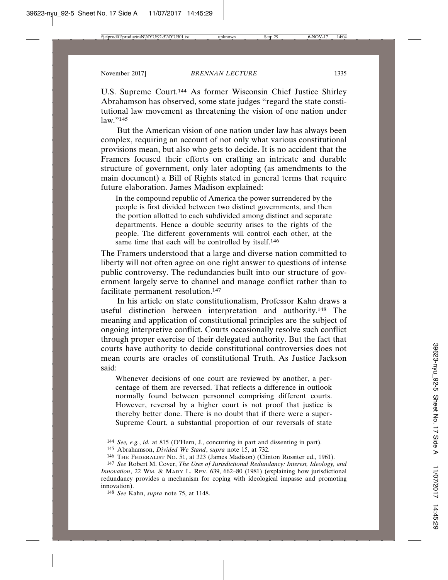U.S. Supreme Court.144 As former Wisconsin Chief Justice Shirley Abrahamson has observed, some state judges "regard the state constitutional law movement as threatening the vision of one nation under law."145

But the American vision of one nation under law has always been complex, requiring an account of not only what various constitutional provisions mean, but also who gets to decide. It is no accident that the Framers focused their efforts on crafting an intricate and durable structure of government, only later adopting (as amendments to the main document) a Bill of Rights stated in general terms that require future elaboration. James Madison explained:

In the compound republic of America the power surrendered by the people is first divided between two distinct governments, and then the portion allotted to each subdivided among distinct and separate departments. Hence a double security arises to the rights of the people. The different governments will control each other, at the same time that each will be controlled by itself.<sup>146</sup>

The Framers understood that a large and diverse nation committed to liberty will not often agree on one right answer to questions of intense public controversy. The redundancies built into our structure of government largely serve to channel and manage conflict rather than to facilitate permanent resolution.147

In his article on state constitutionalism, Professor Kahn draws a useful distinction between interpretation and authority.148 The meaning and application of constitutional principles are the subject of ongoing interpretive conflict. Courts occasionally resolve such conflict through proper exercise of their delegated authority. But the fact that courts have authority to decide constitutional controversies does not mean courts are oracles of constitutional Truth. As Justice Jackson said:

Whenever decisions of one court are reviewed by another, a percentage of them are reversed. That reflects a difference in outlook normally found between personnel comprising different courts. However, reversal by a higher court is not proof that justice is thereby better done. There is no doubt that if there were a super-Supreme Court, a substantial proportion of our reversals of state

<sup>144</sup> *See, e.g.*, *id.* at 815 (O'Hern, J., concurring in part and dissenting in part).

<sup>145</sup> Abrahamson, *Divided We Stand*, *supra* note 15, at 732.

<sup>146</sup> THE FEDERALIST NO. 51, at 323 (James Madison) (Clinton Rossiter ed., 1961).

<sup>147</sup> *See* Robert M. Cover, *The Uses of Jurisdictional Redundancy: Interest, Ideology, and Innovation*, 22 WM. & MARY L. REV. 639, 662–80 (1981) (explaining how jurisdictional redundancy provides a mechanism for coping with ideological impasse and promoting innovation).

<sup>148</sup> *See* Kahn, *supra* note 75, at 1148.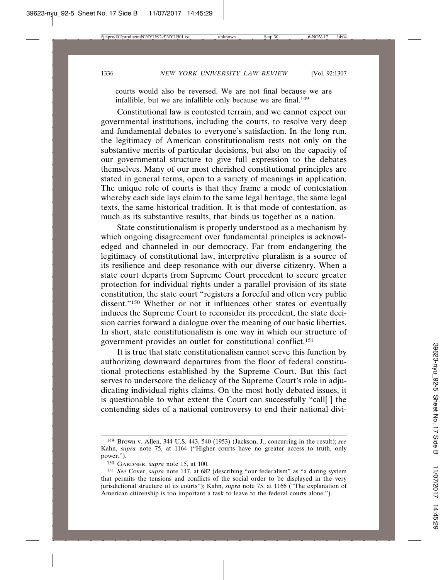courts would also be reversed. We are not final because we are infallible, but we are infallible only because we are final.<sup>149</sup>

Constitutional law is contested terrain, and we cannot expect our governmental institutions, including the courts, to resolve very deep and fundamental debates to everyone's satisfaction. In the long run, the legitimacy of American constitutionalism rests not only on the substantive merits of particular decisions, but also on the capacity of our governmental structure to give full expression to the debates themselves. Many of our most cherished constitutional principles are stated in general terms, open to a variety of meanings in application. The unique role of courts is that they frame a mode of contestation whereby each side lays claim to the same legal heritage, the same legal texts, the same historical tradition. It is that mode of contestation, as much as its substantive results, that binds us together as a nation.

State constitutionalism is properly understood as a mechanism by which ongoing disagreement over fundamental principles is acknowledged and channeled in our democracy. Far from endangering the legitimacy of constitutional law, interpretive pluralism is a source of its resilience and deep resonance with our diverse citizenry. When a state court departs from Supreme Court precedent to secure greater protection for individual rights under a parallel provision of its state constitution, the state court "registers a forceful and often very public dissent."150 Whether or not it influences other states or eventually induces the Supreme Court to reconsider its precedent, the state decision carries forward a dialogue over the meaning of our basic liberties. In short, state constitutionalism is one way in which our structure of government provides an outlet for constitutional conflict.151

It is true that state constitutionalism cannot serve this function by authorizing downward departures from the floor of federal constitutional protections established by the Supreme Court. But this fact serves to underscore the delicacy of the Supreme Court's role in adjudicating individual rights claims. On the most hotly debated issues, it is questionable to what extent the Court can successfully "call[ ] the contending sides of a national controversy to end their national divi-

<sup>149</sup> Brown v. Allen, 344 U.S. 443, 540 (1953) (Jackson, J., concurring in the result); *see* Kahn, *supra* note 75, at 1164 ("Higher courts have no greater access to truth, only power.").

<sup>150</sup> GARDNER, *supra* note 15, at 100.

<sup>151</sup> *See* Cover, *supra* note 147, at 682 (describing "our federalism" as "a daring system that permits the tensions and conflicts of the social order to be displayed in the very jurisdictional structure of its courts"); Kahn, *supra* note 75, at 1166 ("The explanation of American citizenship is too important a task to leave to the federal courts alone.").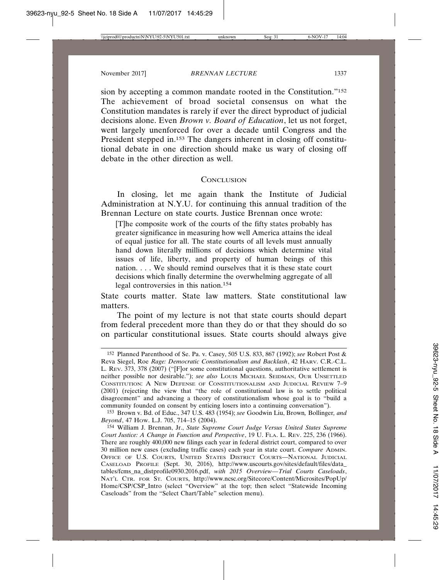sion by accepting a common mandate rooted in the Constitution."152 The achievement of broad societal consensus on what the Constitution mandates is rarely if ever the direct byproduct of judicial decisions alone. Even *Brown v. Board of Education*, let us not forget, went largely unenforced for over a decade until Congress and the President stepped in.153 The dangers inherent in closing off constitutional debate in one direction should make us wary of closing off debate in the other direction as well.

### **CONCLUSION**

In closing, let me again thank the Institute of Judicial Administration at N.Y.U. for continuing this annual tradition of the Brennan Lecture on state courts. Justice Brennan once wrote:

[T]he composite work of the courts of the fifty states probably has greater significance in measuring how well America attains the ideal of equal justice for all. The state courts of all levels must annually hand down literally millions of decisions which determine vital issues of life, liberty, and property of human beings of this nation. . . . We should remind ourselves that it is these state court decisions which finally determine the overwhelming aggregate of all legal controversies in this nation.154

State courts matter. State law matters. State constitutional law matters.

The point of my lecture is not that state courts should depart from federal precedent more than they do or that they should do so on particular constitutional issues. State courts should always give

<sup>152</sup> Planned Parenthood of Se. Pa. v. Casey, 505 U.S. 833, 867 (1992); *see* Robert Post & Reva Siegel, Roe *Rage: Democratic Constitutionalism and Backlash*, 42 HARV. C.R.-C.L. L. REV. 373, 378 (2007) ("[F]or some constitutional questions, authoritative settlement is neither possible nor desirable."); *see also* LOUIS MICHAEL SEIDMAN, OUR UNSETTLED CONSTITUTION: A NEW DEFENSE OF CONSTITUTIONALISM AND JUDICIAL REVIEW 7–9 (2001) (rejecting the view that "the role of constitutional law is to settle political disagreement" and advancing a theory of constitutionalism whose goal is to "build a community founded on consent by enticing losers into a continuing conversation").

<sup>153</sup> Brown v. Bd. of Educ., 347 U.S. 483 (1954); *see* Goodwin Liu, Brown*,* Bollinger*, and Beyond*, 47 HOW. L.J. 705, 714–15 (2004).

<sup>154</sup> William J. Brennan, Jr., *State Supreme Court Judge Versus United States Supreme Court Justice: A Change in Function and Perspective*, 19 U. FLA. L. REV. 225, 236 (1966). There are roughly 400,000 new filings each year in federal district court, compared to over 30 million new cases (excluding traffic cases) each year in state court. *Compare* ADMIN. OFFICE OF U.S. COURTS, UNITED STATES DISTRICT COURTS—NATIONAL JUDICIAL CASELOAD PROFILE (Sept. 30, 2016), http://www.uscourts.gov/sites/default/files/data\_ tables/fcms\_na\_distprofile0930.2016.pdf, *with 2015 Overview—Trial Courts Caseloads*, NAT'L CTR. FOR ST. COURTS, http://www.ncsc.org/Sitecore/Content/Microsites/PopUp/ Home/CSP/CSP\_Intro (select "Overview" at the top; then select "Statewide Incoming Caseloads" from the "Select Chart/Table" selection menu).